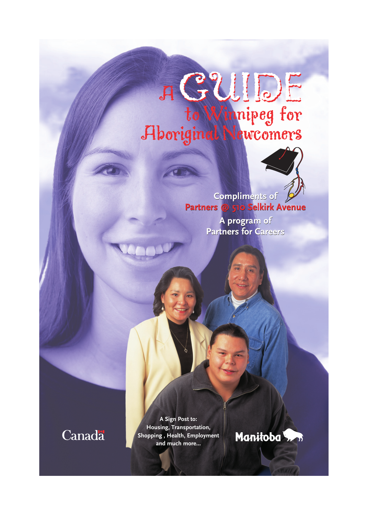# A GUIDE to Winnipeg for<br>Aboriginal Newcomers



Compliments of Partners @ 510 Selkirk Avenue

> A program of **Partners for Careers**

Canada

**A Sign Post to: Housing, Transportation, Shopping , Health, Employment and much more...**

Manitoba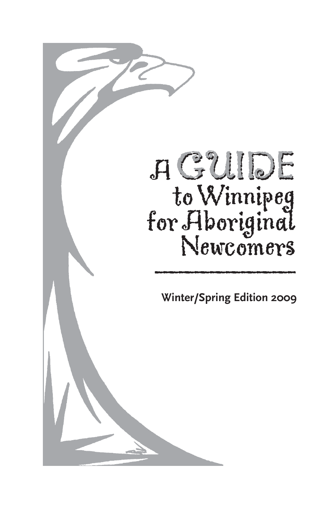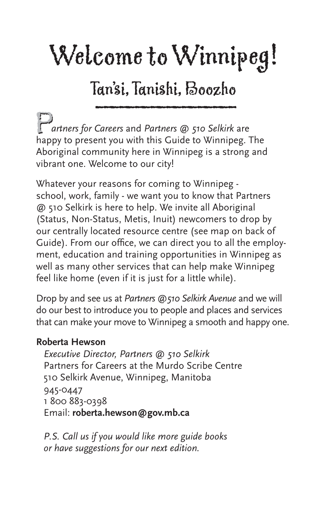## Welcome to Winnipeg!

## Tan'si, Tanishi, Boozho \_\_\_\_\_\_\_\_\_

**Partners for Careers and Partners @ 510 Selkirk are<br>happy to present you with this Guide to Winnipeg. The**  *artners for Careers* and *Partners @ 510 Selkirk* are Aboriginal community here in Winnipeg is a strong and vibrant one. Welcome to our city!

Whatever your reasons for coming to Winnipeg school, work, family - we want you to know that Partners @ 510 Selkirk is here to help. We invite all Aboriginal (Status, Non-Status, Metis, Inuit) newcomers to drop by our centrally located resource centre (see map on back of Guide). From our office, we can direct you to all the employment, education and training opportunities in Winnipeg as well as many other services that can help make Winnipeg feel like home (even if it is just for a little while).

Drop by and see us at *Partners @510 Selkirk Avenue* and we will do our best to introduce you to people and places and services that can make your move to Winnipeg a smooth and happy one.

#### **Roberta Hewson**

*Executive Director, Partners @ 510 Selkirk* Partners for Careers at the Murdo Scribe Centre 510 Selkirk Avenue, Winnipeg, Manitoba 945-0447 1 800 883-0398 Email: **roberta.hewson@gov.mb.ca**

*P.S. Call us if you would like more guide books or have suggestions for our next edition.*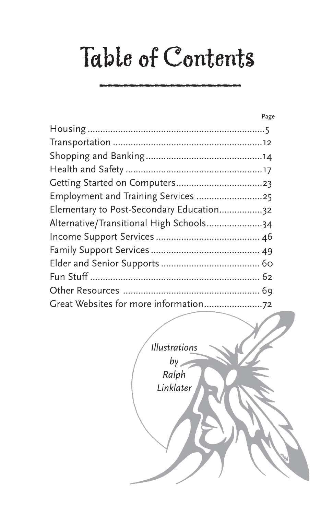## Table of Contents

|                                          | Page |
|------------------------------------------|------|
|                                          |      |
|                                          |      |
|                                          |      |
|                                          |      |
|                                          |      |
| Employment and Training Services 25      |      |
| Elementary to Post-Secondary Education32 |      |
| Alternative/Transitional High Schools34  |      |
|                                          |      |
|                                          |      |
|                                          |      |
|                                          |      |
|                                          |      |
|                                          |      |
|                                          |      |

*Illustrations by Ralph Linklater*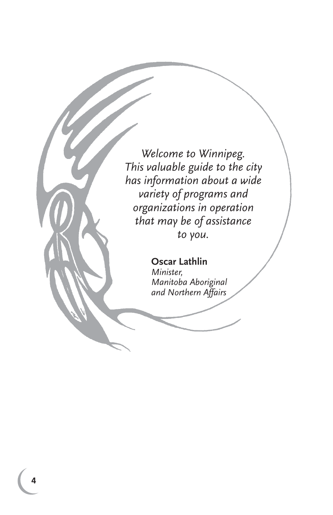*Welcome to Winnipeg. This valuable guide to the city has information about a wide variety of programs and organizations in operation that may be of assistance to you.*

> **Oscar Lathlin** *Minister, Manitoba Aboriginal and Northern Affairs*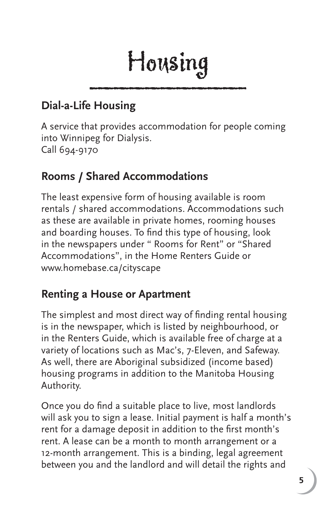## Housing

## **Dial-a-Life Housing**

A service that provides accommodation for people coming into Winnipeg for Dialysis. Call 694-9170

## **Rooms / Shared Accommodations**

The least expensive form of housing available is room rentals / shared accommodations. Accommodations such as these are available in private homes, rooming houses and boarding houses. To find this type of housing, look in the newspapers under " Rooms for Rent" or "Shared Accommodations", in the Home Renters Guide or www.homebase.ca/cityscape

## **Renting a House or Apartment**

The simplest and most direct way of finding rental housing is in the newspaper, which is listed by neighbourhood, or in the Renters Guide, which is available free of charge at a variety of locations such as Mac's, 7-Eleven, and Safeway. As well, there are Aboriginal subsidized (income based) housing programs in addition to the Manitoba Housing Authority.

Once you do find a suitable place to live, most landlords will ask you to sign a lease. Initial payment is half a month's rent for a damage deposit in addition to the first month's rent. A lease can be a month to month arrangement or a 12-month arrangement. This is a binding, legal agreement between you and the landlord and will detail the rights and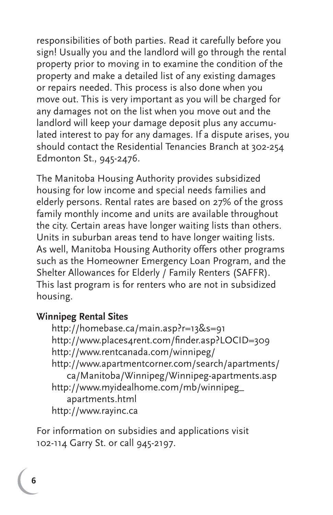responsibilities of both parties. Read it carefully before you sign! Usually you and the landlord will go through the rental property prior to moving in to examine the condition of the property and make a detailed list of any existing damages or repairs needed. This process is also done when you move out. This is very important as you will be charged for any damages not on the list when you move out and the landlord will keep your damage deposit plus any accumulated interest to pay for any damages. If a dispute arises, you should contact the Residential Tenancies Branch at 302-254 Edmonton St., 945-2476.

The Manitoba Housing Authority provides subsidized housing for low income and special needs families and elderly persons. Rental rates are based on 27% of the gross family monthly income and units are available throughout the city. Certain areas have longer waiting lists than others. Units in suburban areas tend to have longer waiting lists. As well, Manitoba Housing Authority offers other programs such as the Homeowner Emergency Loan Program, and the Shelter Allowances for Elderly / Family Renters (SAFFR). This last program is for renters who are not in subsidized housing.

#### **Winnipeg Rental Sites**

 http://homebase.ca/main.asp?r=13&s=91 http://www.places4rent.com/finder.asp?LOCID=309 http://www.rentcanada.com/winnipeg/ http://www.apartmentcorner.com/search/apartments/ ca/Manitoba/Winnipeg/Winnipeg-apartments.asp http://www.myidealhome.com/mb/winnipeg\_ apartments.html http://www.rayinc.ca

For information on subsidies and applications visit 102-114 Garry St. or call 945-2197.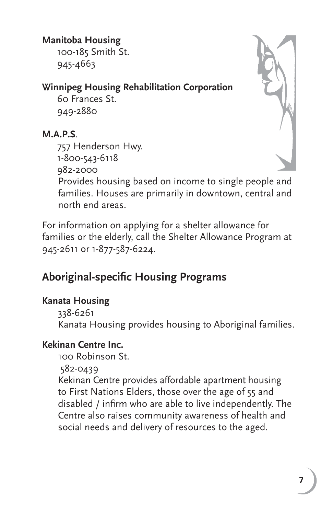## **Manitoba Housing**

 100-185 Smith St. 945-4663

## **Winnipeg Housing Rehabilitation Corporation**

 60 Frances St. 949-2880

### **M.A.P.S**.

 757 Henderson Hwy. 1-800-543-6118 982-2000 Provides housing based on income to single people and families. Houses are primarily in downtown, central and

north end areas.

For information on applying for a shelter allowance for families or the elderly, call the Shelter Allowance Program at 945-2611 or 1-877-587-6224.

## **Aboriginal-specific Housing Programs**

### **Kanata Housing**

 338-6261 Kanata Housing provides housing to Aboriginal families.

### **Kekinan Centre Inc.**

100 Robinson St.

582-0439

Kekinan Centre provides affordable apartment housing to First Nations Elders, those over the age of 55 and disabled / infirm who are able to live independently. The Centre also raises community awareness of health and social needs and delivery of resources to the aged.

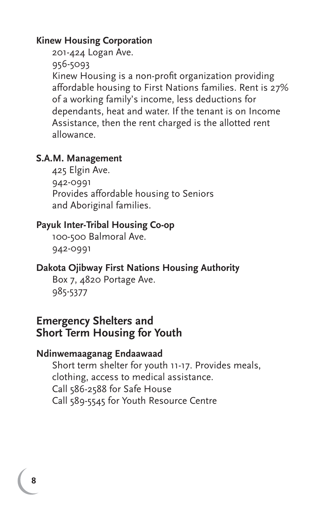#### **Kinew Housing Corporation**

 201-424 Logan Ave. 956-5093 Kinew Housing is a non-profit organization providing affordable housing to First Nations families. Rent is 27% of a working family's income, less deductions for dependants, heat and water. If the tenant is on Income Assistance, then the rent charged is the allotted rent allowance.

#### **S.A.M. Management**

 425 Elgin Ave. 942-0991 Provides affordable housing to Seniors and Aboriginal families.

#### **Payuk Inter-Tribal Housing Co-op**

 100-500 Balmoral Ave. 942-0991

#### **Dakota Ojibway First Nations Housing Authority**

 Box 7, 4820 Portage Ave. 985-5377

#### **Emergency Shelters and Short Term Housing for Youth**

#### **Ndinwemaaganag Endaawaad**

 Short term shelter for youth 11-17. Provides meals, clothing, access to medical assistance. Call 586-2588 for Safe House Call 589-5545 for Youth Resource Centre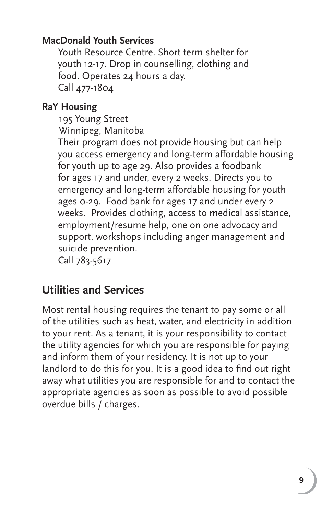#### **MacDonald Youth Services**

 Youth Resource Centre. Short term shelter for youth 12-17. Drop in counselling, clothing and food. Operates 24 hours a day. Call 477-1804

#### **RaY Housing**

195 Young Street

Winnipeg, Manitoba

 Their program does not provide housing but can help you access emergency and long-term affordable housing for youth up to age 29. Also provides a foodbank for ages 17 and under, every 2 weeks. Directs you to emergency and long-term affordable housing for youth ages 0-29. Food bank for ages 17 and under every 2 weeks. Provides clothing, access to medical assistance, employment/resume help, one on one advocacy and support, workshops including anger management and suicide prevention. Call 783-5617

## **Utilities and Services**

Most rental housing requires the tenant to pay some or all of the utilities such as heat, water, and electricity in addition to your rent. As a tenant, it is your responsibility to contact the utility agencies for which you are responsible for paying and inform them of your residency. It is not up to your landlord to do this for you. It is a good idea to find out right away what utilities you are responsible for and to contact the appropriate agencies as soon as possible to avoid possible overdue bills / charges.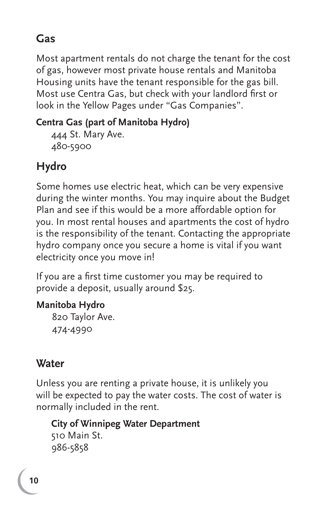## **Gas**

Most apartment rentals do not charge the tenant for the cost of gas, however most private house rentals and Manitoba Housing units have the tenant responsible for the gas bill. Most use Centra Gas, but check with your landlord first or look in the Yellow Pages under "Gas Companies".

## **Centra Gas (part of Manitoba Hydro)**

 444 St. Mary Ave. 480-5900

## **Hydro**

Some homes use electric heat, which can be very expensive during the winter months. You may inquire about the Budget Plan and see if this would be a more affordable option for you. In most rental houses and apartments the cost of hydro is the responsibility of the tenant. Contacting the appropriate hydro company once you secure a home is vital if you want electricity once you move in!

If you are a first time customer you may be required to provide a deposit, usually around \$25.

## **Manitoba Hydro**

 820 Taylor Ave. 474-4990

## **Water**

Unless you are renting a private house, it is unlikely you will be expected to pay the water costs. The cost of water is normally included in the rent.

 **City of Winnipeg Water Department** 510 Main St. 986-5858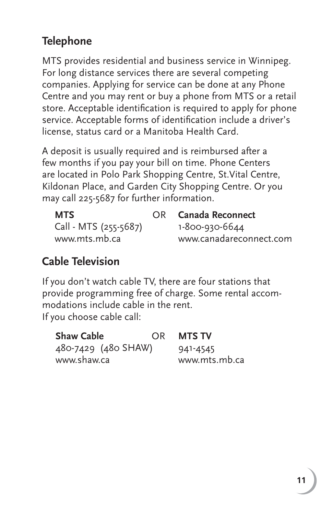## **Telephone**

MTS provides residential and business service in Winnipeg. For long distance services there are several competing companies. Applying for service can be done at any Phone Centre and you may rent or buy a phone from MTS or a retail store. Acceptable identification is required to apply for phone service. Acceptable forms of identification include a driver's license, status card or a Manitoba Health Card.

A deposit is usually required and is reimbursed after a few months if you pay your bill on time. Phone Centers are located in Polo Park Shopping Centre, St.Vital Centre, Kildonan Place, and Garden City Shopping Centre. Or you may call 225-5687 for further information.

| <b>MTS</b>            | OR Canada Reconnect     |
|-----------------------|-------------------------|
| Call - MTS (255-5687) | 1-800-930-6644          |
| www.mts.mb.ca         | www.canadareconnect.com |

## **Cable Television**

If you don't watch cable TV, there are four stations that provide programming free of charge. Some rental accommodations include cable in the rent. If you choose cable call:

| <b>Shaw Cable</b>   | OR. | MTS TV        |
|---------------------|-----|---------------|
| 480-7429 (480 SHAW) |     | 941-4545      |
| www.shaw.ca         |     | www.mts.mb.ca |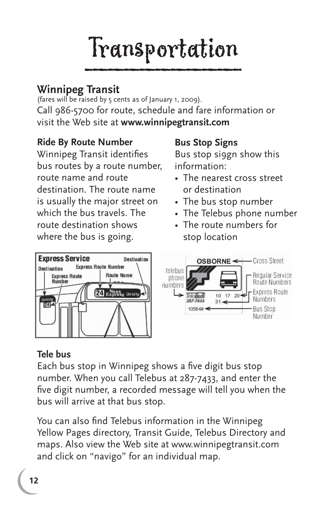## \_\_\_\_\_\_\_\_\_\_ Transportation

## **Winnipeg Transit**

(fares will be raised by 5 cents as of January 1, 2009). Call 986-5700 for route, schedule and fare information or visit the Web site at **www.winnipegtransit.com**

#### **Ride By Route Number**

Winnipeg Transit identifies bus routes by a route number, route name and route destination. The route name is usually the major street on which the bus travels. The route destination shows where the bus is going.

#### **Bus Stop Signs**

Bus stop si9gn show this information:

- The nearest cross street or destination
- The bus stop number
- The Telebus phone number
- The route numbers for stop location



#### **Tele bus**

Each bus stop in Winnipeg shows a five digit bus stop number. When you call Telebus at 287-7433, and enter the five digit number, a recorded message will tell you when the bus will arrive at that bus stop.

You can also find Telebus information in the Winnipeg Yellow Pages directory, Transit Guide, Telebus Directory and maps. Also view the Web site at www.winnipegtransit.com and click on "navigo" for an individual map.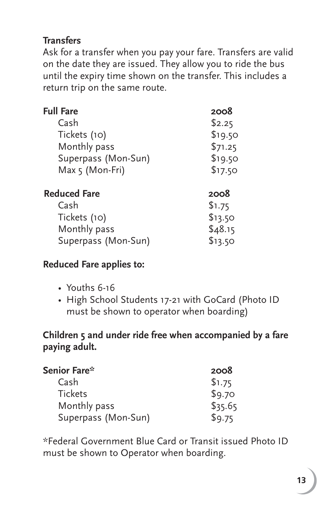### **Transfers**

Ask for a transfer when you pay your fare. Transfers are valid on the date they are issued. They allow you to ride the bus until the expiry time shown on the transfer. This includes a return trip on the same route.

| <b>Full Fare</b>    | 2008    |
|---------------------|---------|
| Cash                | \$2.25  |
| Tickets (10)        | \$19.50 |
| Monthly pass        | \$71.25 |
| Superpass (Mon-Sun) | \$19.50 |
| Max 5 (Mon-Fri)     | \$17.50 |
| <b>Reduced Fare</b> | 2008    |
| Cash                | \$1.75  |
| Tickets (10)        | \$13.50 |
| Monthly pass        | \$48.15 |
| Superpass (Mon-Sun) | \$13.50 |

#### **Reduced Fare applies to:**

- Youths 6-16
- High School Students 17-21 with GoCard (Photo ID must be shown to operator when boarding)

#### **Children 5 and under ride free when accompanied by a fare paying adult.**

| Senior Fare*        | 2008    |
|---------------------|---------|
| Cash                | \$1.75  |
| <b>Tickets</b>      | \$9.70  |
| Monthly pass        | \$35.65 |
| Superpass (Mon-Sun) | \$9.75  |

\*Federal Government Blue Card or Transit issued Photo ID must be shown to Operator when boarding.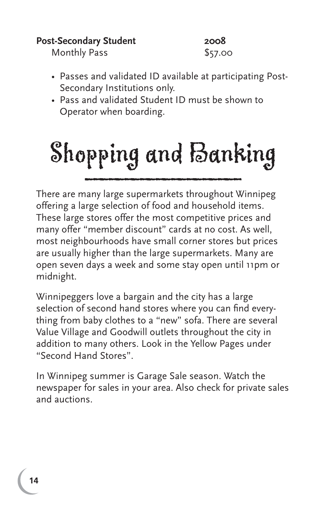#### Post-Secondary Student 2008

Monthly Pass \$57.00

- Passes and validated ID available at participating Post- Secondary Institutions only.
- Pass and validated Student ID must be shown to Operator when boarding.

## Shopping and Banking

There are many large supermarkets throughout Winnipeg offering a large selection of food and household items. These large stores offer the most competitive prices and many offer "member discount" cards at no cost. As well, most neighbourhoods have small corner stores but prices are usually higher than the large supermarkets. Many are open seven days a week and some stay open until 11pm or midnight.

Winnipeggers love a bargain and the city has a large selection of second hand stores where you can find everything from baby clothes to a "new" sofa. There are several Value Village and Goodwill outlets throughout the city in addition to many others. Look in the Yellow Pages under "Second Hand Stores".

In Winnipeg summer is Garage Sale season. Watch the newspaper for sales in your area. Also check for private sales and auctions.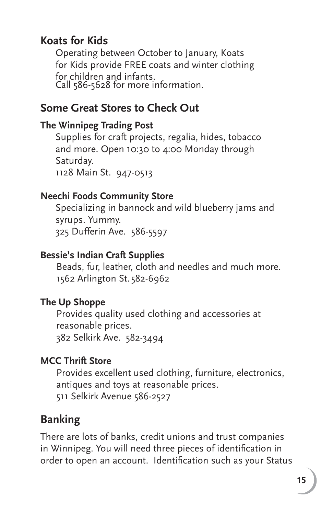## **Koats for Kids**

 Operating between October to January, Koats for Kids provide FREE coats and winter clothing for children and infants. Call 586-5628 for more information.

## **Some Great Stores to Check Out**

#### **The Winnipeg Trading Post**

 Supplies for craft projects, regalia, hides, tobacco and more. Open 10:30 to 4:00 Monday through Saturday. 1128 Main St. 947-0513

#### **Neechi Foods Community Store**

 Specializing in bannock and wild blueberry jams and syrups. Yummy. 325 Dufferin Ave. 586-5597

#### **Bessie's Indian Craft Supplies**

 Beads, fur, leather, cloth and needles and much more. 1562 Arlington St. 582-6962

#### **The Up Shoppe**

 Provides quality used clothing and accessories at reasonable prices. 382 Selkirk Ave. 582-3494

#### **MCC Thrift Store**

 Provides excellent used clothing, furniture, electronics, antiques and toys at reasonable prices. 511 Selkirk Avenue 586-2527

## **Banking**

There are lots of banks, credit unions and trust companies in Winnipeg. You will need three pieces of identification in order to open an account. Identification such as your Status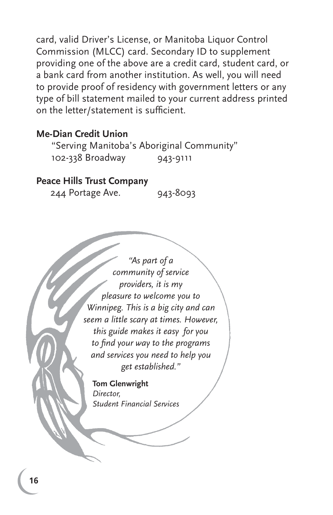card, valid Driver's License, or Manitoba Liquor Control Commission (MLCC) card. Secondary ID to supplement providing one of the above are a credit card, student card, or a bank card from another institution. As well, you will need to provide proof of residency with government letters or any type of bill statement mailed to your current address printed on the letter/statement is sufficient.

#### **Me-Dian Credit Union**

 "Serving Manitoba's Aboriginal Community" 102-338 Broadway 943-9111

#### **Peace Hills Trust Company**

244 Portage Ave. 943-8093

*"As part of a community of service providers, it is my pleasure to welcome you to Winnipeg. This is a big city and can seem a little scary at times. However, this guide makes it easy for you to fi nd your way to the programs and services you need to help you get established."*

**Tom Glenwright** *Director, Student Financial Services*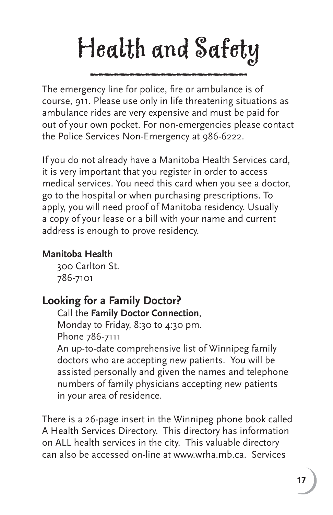## Health and Safety \_\_\_\_\_\_\_\_\_\_

The emergency line for police, fire or ambulance is of course, 911. Please use only in life threatening situations as ambulance rides are very expensive and must be paid for out of your own pocket. For non-emergencies please contact the Police Services Non-Emergency at 986-6222.

If you do not already have a Manitoba Health Services card, it is very important that you register in order to access medical services. You need this card when you see a doctor, go to the hospital or when purchasing prescriptions. To apply, you will need proof of Manitoba residency. Usually a copy of your lease or a bill with your name and current address is enough to prove residency.

## **Manitoba Health**

 300 Carlton St. 786-7101

## **Looking for a Family Doctor?**

Call the **Family Doctor Connection**, Monday to Friday, 8:30 to 4:30 pm. Phone 786-7111 An up-to-date comprehensive list of Winnipeg family doctors who are accepting new patients. You will be assisted personally and given the names and telephone numbers of family physicians accepting new patients

in your area of residence.

There is a 26-page insert in the Winnipeg phone book called A Health Services Directory. This directory has information on ALL health services in the city. This valuable directory can also be accessed on-line at www.wrha.mb.ca. Services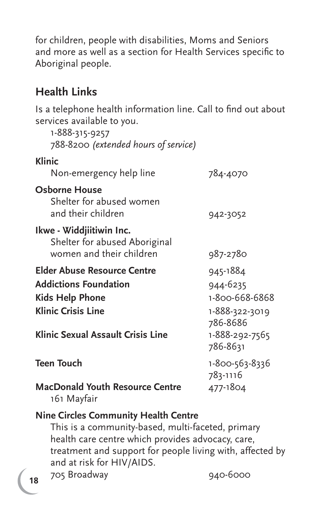for children, people with disabilities, Moms and Seniors and more as well as a section for Health Services specific to Aboriginal people.

## **Health Links**

Is a telephone health information line. Call to find out about services available to you.

| 1-888-315-9257<br>788-8200 (extended hours of service)                                                                                                  |                                                                                                    |
|---------------------------------------------------------------------------------------------------------------------------------------------------------|----------------------------------------------------------------------------------------------------|
| Klinic<br>Non-emergency help line                                                                                                                       | 784-4070                                                                                           |
| Osborne House<br>Shelter for abused women<br>and their children                                                                                         | 942-3052                                                                                           |
| Ikwe - Widdjiitiwin Inc.<br>Shelter for abused Aboriginal<br>women and their children                                                                   | 987-2780                                                                                           |
| <b>Elder Abuse Resource Centre</b><br><b>Addictions Foundation</b><br>Kids Help Phone<br><b>Klinic Crisis Line</b><br>Klinic Sexual Assault Crisis Line | 945-1884<br>944-6235<br>1-800-668-6868<br>1-888-322-3019<br>786-8686<br>1-888-292-7565<br>786-8631 |
| Teen Touch<br><b>MacDonald Youth Resource Centre</b><br>161 Mayfair                                                                                     | 1-800-563-8336<br>783-1116<br>477-1804                                                             |

#### **Nine Circles Community Health Centre**

 This is a community-based, multi-faceted, primary health care centre which provides advocacy, care, treatment and support for people living with, affected by and at risk for HIV/AIDS.

705 Broadway 940-6000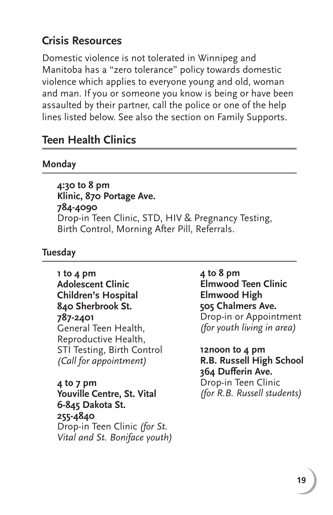## **Crisis Resources**

Domestic violence is not tolerated in Winnipeg and Manitoba has a "zero tolerance" policy towards domestic violence which applies to everyone young and old, woman and man. If you or someone you know is being or have been assaulted by their partner, call the police or one of the help lines listed below. See also the section on Family Supports.

## **Teen Health Clinics**

#### **Monday**

**4:30 to 8 pm Klinic, 870 Portage Ave. 784-4090** Drop-in Teen Clinic, STD, HIV & Pregnancy Testing, Birth Control, Morning After Pill, Referrals.

#### **Tuesday**

**1 to 4 pm Adolescent Clinic Children's Hospital 840 Sherbrook St. 787-2401** General Teen Health, Reproductive Health, STI Testing, Birth Control *(Call for appointment)*

**4 to 7 pm Youville Centre, St. Vital 6-845 Dakota St. 255-4840** Drop-in Teen Clinic *(for St. Vital and St. Boniface youth)* **4 to 8 pm Elmwood Teen Clinic Elmwood High 505 Chalmers Ave.** Drop-in or Appointment *(for youth living in area)*

**12noon to 4 pm R.B. Russell High School 364 Dufferin Ave.**  Drop-in Teen Clinic *(for R.B. Russell students)*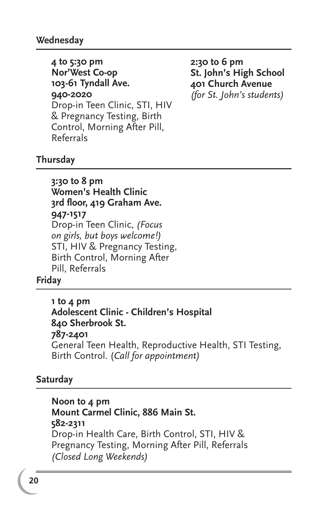**4 to 5:30 pm Nor'West Co-op 103-61 Tyndall Ave. 940-2020** Drop-in Teen Clinic, STI, HIV & Pregnancy Testing, Birth Control, Morning After Pill, Referrals

**2:30 to 6 pm St. John's High School 401 Church Avenue** *(for St. John's students)*

#### **Thursday**

**3:30 to 8 pm Women's Health Clinic 3rd fl oor, 419 Graham Ave. 947-1517** Drop-in Teen Clinic, *(Focus on girls, but boys welcome!)* STI, HIV & Pregnancy Testing, Birth Control, Morning After Pill, Referrals

#### **Friday**

**1 to 4 pm Adolescent Clinic - Children's Hospital 840 Sherbrook St. 787-2401** General Teen Health, Reproductive Health, STI Testing, Birth Control. (*Call for appointment)* 

#### **Saturday**

**Noon to 4 pm Mount Carmel Clinic, 886 Main St. 582-2311** Drop-in Health Care, Birth Control, STI, HIV & Pregnancy Testing, Morning After Pill, Referrals *(Closed Long Weekends)*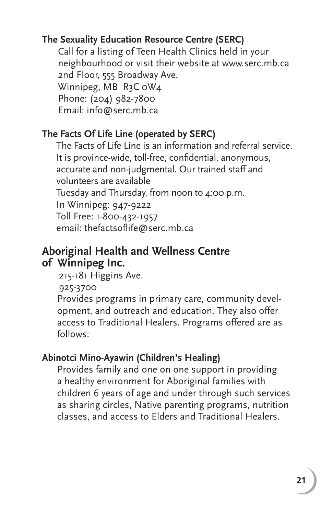### **The Sexuality Education Resource Centre (SERC)**

 Call for a listing of Teen Health Clinics held in your neighbourhood or visit their website at www.serc.mb.ca 2nd Floor, 555 Broadway Ave. Winnipeg, MB R3C oW4 Phone: (204) 982-7800 Email: info@serc.mb.ca

## **The Facts Of Life Line (operated by SERC)**

The Facts of Life Line is an information and referral service. It is province-wide, toll-free, confidential, anonymous, accurate and non-judgmental. Our trained staff and volunteers are available Tuesday and Thursday, from noon to 4:00 p.m. In Winnipeg: 947-9222 Toll Free: 1-800-432-1957 email: thefactsoflife@serc.mb.ca

## **Aboriginal Health and Wellness Centre of Winnipeg Inc.**

215-181 Higgins Ave.

925-3700

Provides programs in primary care, community development, and outreach and education. They also offer access to Traditional Healers. Programs offered are as follows:

## **Abinotci Mino-Ayawin (Children's Healing)**

Provides family and one on one support in providing a healthy environment for Aboriginal families with children 6 years of age and under through such services as sharing circles, Native parenting programs, nutrition classes, and access to Elders and Traditional Healers.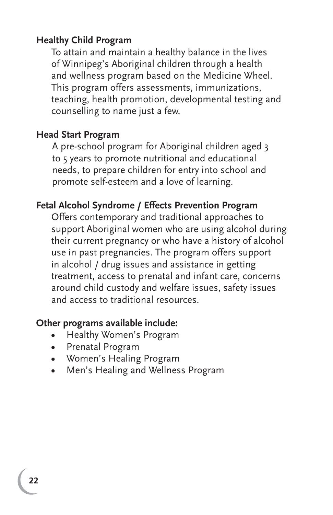#### **Healthy Child Program**

To attain and maintain a healthy balance in the lives of Winnipeg's Aboriginal children through a health and wellness program based on the Medicine Wheel. This program offers assessments, immunizations, teaching, health promotion, developmental testing and counselling to name just a few.

#### **Head Start Program**

A pre-school program for Aboriginal children aged 3 to 5 years to promote nutritional and educational needs, to prepare children for entry into school and promote self-esteem and a love of learning.

#### **Fetal Alcohol Syndrome / Effects Prevention Program**

Offers contemporary and traditional approaches to support Aboriginal women who are using alcohol during their current pregnancy or who have a history of alcohol use in past pregnancies. The program offers support in alcohol / drug issues and assistance in getting treatment, access to prenatal and infant care, concerns around child custody and welfare issues, safety issues and access to traditional resources.

#### **Other programs available include:**

- **•** Healthy Women's Program
- **•** Prenatal Program
- **•** Women's Healing Program
- **•** Men's Healing and Wellness Program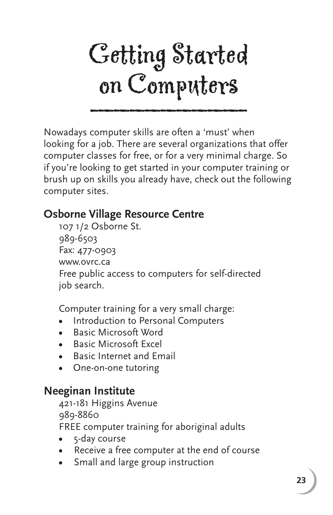

Nowadays computer skills are often a 'must' when looking for a job. There are several organizations that offer computer classes for free, or for a very minimal charge. So if you're looking to get started in your computer training or brush up on skills you already have, check out the following computer sites.

## **Osborne Village Resource Centre**

107 1/2 Osborne St. 989-6503 Fax: 477-0903 www.ovrc.ca Free public access to computers for self-directed job search.

Computer training for a very small charge:

- **•** Introduction to Personal Computers
- **•** Basic Microsoft Word
- **•** Basic Microsoft Excel
- **•** Basic Internet and Email
- **•** One-on-one tutoring

## **Neeginan Institute**

421-181 Higgins Avenue 989-8860

FREE computer training for aboriginal adults

- **•** 5-day course
- **•** Receive a free computer at the end of course
- **•** Small and large group instruction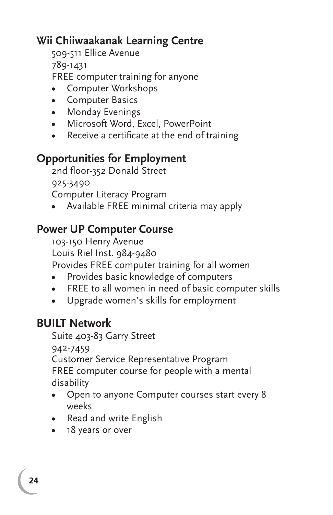## **Wii Chiiwaakanak Learning Centre**

509-511 Ellice Avenue 789-1431 FREE computer training for anyone

- **•** Computer Workshops
- **•** Computer Basics
- **•** Monday Evenings
- **•** Microsoft Word, Excel, PowerPoint
- Receive a certificate at the end of training

## **Opportunities for Employment**

2nd floor-352 Donald Street 925-3490 Computer Literacy Program

**•** Available FREE minimal criteria may apply

## **Power UP Computer Course**

103-150 Henry Avenue Louis Riel Inst. 984-9480 Provides FREE computer training for all women

- **•** Provides basic knowledge of computers
- **•** FREE to all women in need of basic computer skills
- **•** Upgrade women's skills for employment

## **BUILT Network**

Suite 403-83 Garry Street 942-7459 Customer Service Representative Program FREE computer course for people with a mental disability

- **•** Open to anyone Computer courses start every 8 weeks
- **•** Read and write English
- **•** 18 years or over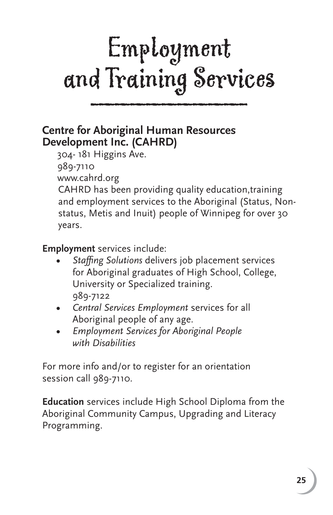## Employment and Training Services

## **Centre for Aboriginal Human Resources Development Inc. (CAHRD)**

304- 181 Higgins Ave.

989-7110

www.cahrd.org

CAHRD has been providing quality education,training and employment services to the Aboriginal (Status, Nonstatus, Metis and Inuit) people of Winnipeg for over 30 years.

**Employment** services include:

- **•** *Staffi ng Solutions* delivers job placement services for Aboriginal graduates of High School, College, University or Specialized training. 989-7122
- **•** *Central Services Employment* services for all Aboriginal people of any age.
- **•** *Employment Services for Aboriginal People with Disabilities*

For more info and/or to register for an orientation session call 989-7110.

**Education** services include High School Diploma from the Aboriginal Community Campus, Upgrading and Literacy Programming.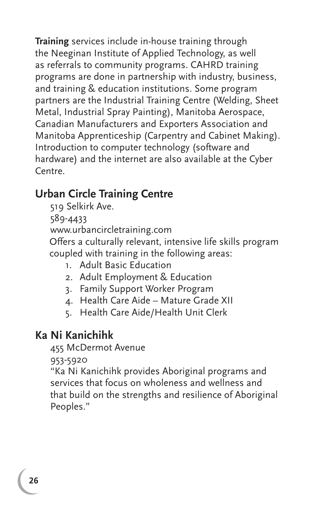**Training** services include in-house training through the Neeginan Institute of Applied Technology, as well as referrals to community programs. CAHRD training programs are done in partnership with industry, business, and training & education institutions. Some program partners are the Industrial Training Centre (Welding, Sheet Metal, Industrial Spray Painting), Manitoba Aerospace, Canadian Manufacturers and Exporters Association and Manitoba Apprenticeship (Carpentry and Cabinet Making). Introduction to computer technology (software and hardware) and the internet are also available at the Cyber Centre.

## **Urban Circle Training Centre**

 519 Selkirk Ave. 589-4433 www.urbancircletraining.com Offers a culturally relevant, intensive life skills program coupled with training in the following areas:

- 1. Adult Basic Education
- 2. Adult Employment & Education
- 3. Family Support Worker Program
- 4. Health Care Aide Mature Grade XII
- 5. Health Care Aide/Health Unit Clerk

## **Ka Ni Kanichihk**

455 McDermot Avenue

953-5920

"Ka Ni Kanichihk provides Aboriginal programs and services that focus on wholeness and wellness and that build on the strengths and resilience of Aboriginal Peoples."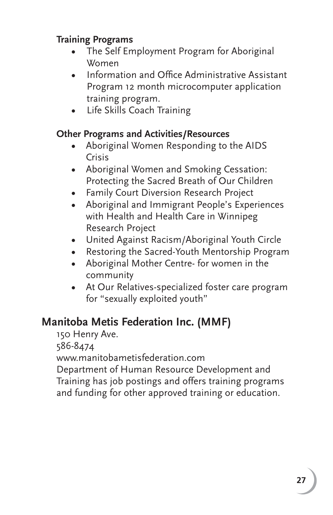### **Training Programs**

- The Self Employment Program for Aboriginal Women
- **Information and Office Administrative Assistant**  Program 12 month microcomputer application training program.
- Life Skills Coach Training

#### **Other Programs and Activities/Resources**

- Aboriginal Women Responding to the AIDS Crisis
- Aboriginal Women and Smoking Cessation: Protecting the Sacred Breath of Our Children
- Family Court Diversion Research Project
- Aboriginal and Immigrant People's Experiences with Health and Health Care in Winnipeg Research Project
- United Against Racism/Aboriginal Youth Circle
- Restoring the Sacred-Youth Mentorship Program
- Aboriginal Mother Centre- for women in the community
- At Our Relatives-specialized foster care program for "sexually exploited youth"

## **Manitoba Metis Federation Inc. (MMF)**

150 Henry Ave.

586-8474

www.manitobametisfederation.com

Department of Human Resource Development and Training has job postings and offers training programs and funding for other approved training or education.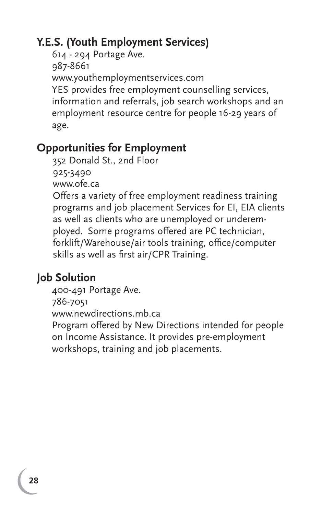## **Y.E.S. (Youth Employment Services)**

614 - 294 Portage Ave. 987-8661 www.youthemploymentservices.com YES provides free employment counselling services, information and referrals, job search workshops and an employment resource centre for people 16-29 years of age.

## **Opportunities for Employment**

352 Donald St., 2nd Floor 925-3490

www.ofe.ca

Offers a variety of free employment readiness training programs and job placement Services for EI, EIA clients as well as clients who are unemployed or underemployed. Some programs offered are PC technician, forklift/Warehouse/air tools training, office/computer skills as well as first air/CPR Training.

## **Job Solution**

400-491 Portage Ave. 786-7051 www.newdirections.mb.ca Program offered by New Directions intended for people on Income Assistance. It provides pre-employment workshops, training and job placements.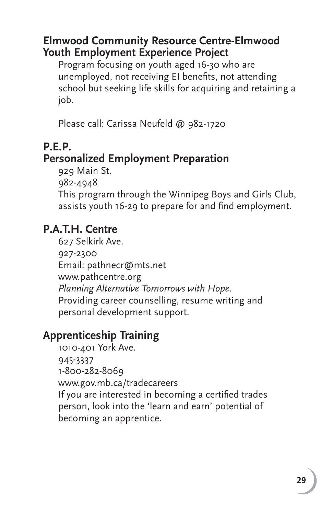## **Elmwood Community Resource Centre-Elmwood Youth Employment Experience Project**

Program focusing on youth aged 16-30 who are unemployed, not receiving EI benefits, not attending school but seeking life skills for acquiring and retaining a job.

Please call: Carissa Neufeld @ 982-1720

## **P.E.P.**

## **Personalized Employment Preparation**

929 Main St.

982-4948

This program through the Winnipeg Boys and Girls Club, assists youth 16-29 to prepare for and find employment.

## **P.A.T.H. Centre**

627 Selkirk Ave. 927-2300 Email: pathnecr@mts.net www.pathcentre.org *Planning Alternative Tomorrows with Hope.* Providing career counselling, resume writing and personal development support.

## **Apprenticeship Training**

1010-401 York Ave. 945-3337 1-800-282-8069 www.gov.mb.ca/tradecareers If you are interested in becoming a certified trades person, look into the 'learn and earn' potential of becoming an apprentice.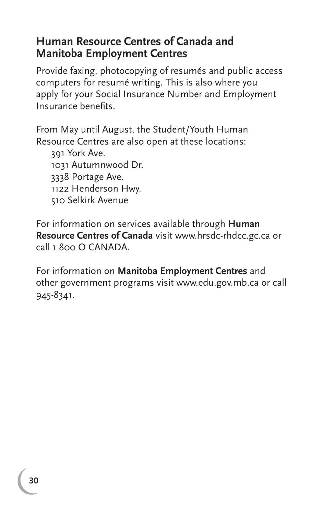## **Human Resource Centres of Canada and Manitoba Employment Centres**

Provide faxing, photocopying of resumés and public access computers for resumé writing. This is also where you apply for your Social Insurance Number and Employment Insurance benefits.

From May until August, the Student/Youth Human Resource Centres are also open at these locations:

391 York Ave. 1031 Autumnwood Dr. 3338 Portage Ave. 1122 Henderson Hwy. 510 Selkirk Avenue

For information on services available through **Human Resource Centres of Canada** visit www.hrsdc-rhdcc.gc.ca or call 1 800 O CANADA.

For information on **Manitoba Employment Centres** and other government programs visit www.edu.gov.mb.ca or call 945-8341.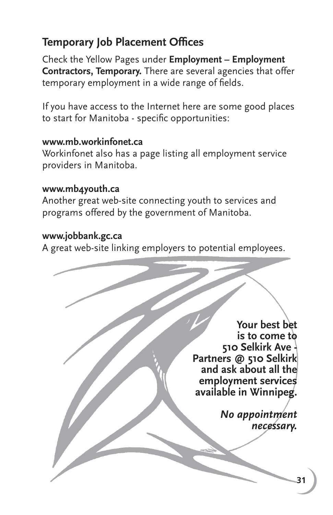## **Temporary Job Placement Offices**

Check the Yellow Pages under **Employment – Employment Contractors, Temporary.** There are several agencies that offer temporary employment in a wide range of fields.

If you have access to the Internet here are some good places to start for Manitoba - specific opportunities:

#### **www.mb.workinfonet.ca**

Workinfonet also has a page listing all employment service providers in Manitoba.

#### **www.mb4youth.ca**

Another great web-site connecting youth to services and programs offered by the government of Manitoba.

#### **www.jobbank.gc.ca**

A great web-site linking employers to potential employees.

**Your best bet is to come to 510 Selkirk Ave - Partners @ 510 Selkirk and ask about all the employment services available in Winnipeg.** 

> *No appointment necessary.*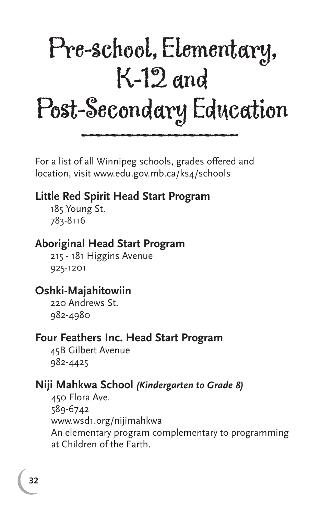## Pre-school, Elementary, K-12 and Post-Secondary Education LOSP-SECONDALY LANC

For a list of all Winnipeg schools, grades offered and location, visit www.edu.gov.mb.ca/ks4/schools

## **Little Red Spirit Head Start Program**

185 Young St. 783-8116

## **Aboriginal Head Start Program**

215 - 181 Higgins Avenue 925-1201

## **Oshki-Majahitowiin**

220 Andrews St. 982-4980

### **Four Feathers Inc. Head Start Program**

45B Gilbert Avenue 982-4425

## **Niji Mahkwa School** *(Kindergarten to Grade 8)*

450 Flora Ave. 589-6742 www.wsd1.org/nijimahkwa An elementary program complementary to programming at Children of the Earth.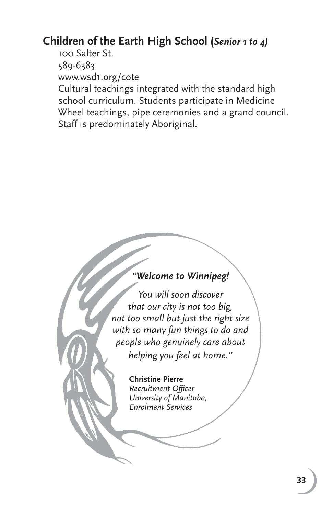## **Children of the Earth High School (***Senior 1 to 4)*

100 Salter St. 589-6383 www.wsd1.org/cote

Cultural teachings integrated with the standard high school curriculum. Students participate in Medicine Wheel teachings, pipe ceremonies and a grand council. Staff is predominately Aboriginal.

#### *"Welcome to Winnipeg!*

*You will soon discover that our city is not too big, not too small but just the right size with so many fun things to do and people who genuinely care about helping you feel at home."*

#### **Christine Pierre**

*Recruitment Offi cer University of Manitoba, Enrolment Services*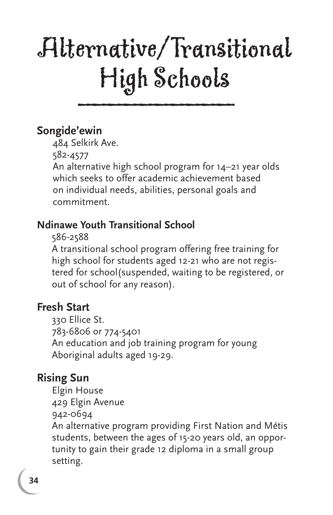## Alternative/Transitional High Schools Lugn ocnoois

## **Songide'ewin**

484 Selkirk Ave.

582-4577

An alternative high school program for 14–21 year olds which seeks to offer academic achievement based on individual needs, abilities, personal goals and commitment.

## **Ndinawe Youth Transitional School**

586-2588

A transitional school program offering free training for high school for students aged 12-21 who are not registered for school(suspended, waiting to be registered, or out of school for any reason).

## **Fresh Start**

330 Ellice St. 783-6806 or 774-5401 An education and job training program for young Aboriginal adults aged 19-29.

## **Rising Sun**

Elgin House 429 Elgin Avenue 942-0694 An alternative program providing First Nation and Métis students, between the ages of 15-20 years old, an opportunity to gain their grade 12 diploma in a small group setting.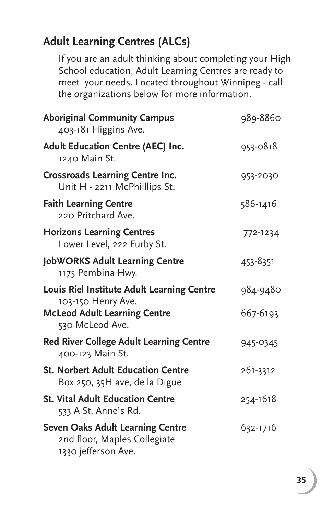## **Adult Learning Centres (ALCs)**

If you are an adult thinking about completing your High School education, Adult Learning Centres are ready to meet your needs. Located throughout Winnipeg - call the organizations below for more information.

| <b>Aboriginal Community Campus</b><br>403-181 Higgins Ave.                                                                 | 989-8860             |
|----------------------------------------------------------------------------------------------------------------------------|----------------------|
| <b>Adult Education Centre (AEC) Inc.</b><br>1240 Main St.                                                                  | 953-0818             |
| <b>Crossroads Learning Centre Inc.</b><br>Unit H - 2211 McPhilllips St.                                                    | 953-2030             |
| <b>Faith Learning Centre</b><br>220 Pritchard Ave.                                                                         | 586-1416             |
| <b>Horizons Learning Centres</b><br>Lower Level, 222 Furby St.                                                             | 772-1234             |
| <b>JobWORKS Adult Learning Centre</b><br>1175 Pembina Hwy.                                                                 | 453-8351             |
| Louis Riel Institute Adult Learning Centre<br>103-150 Henry Ave.<br><b>McLeod Adult Learning Centre</b><br>530 McLeod Ave. | 984-9480<br>667-6193 |
| <b>Red River College Adult Learning Centre</b><br>400-123 Main St.                                                         | 945-0345             |
| <b>St. Norbert Adult Education Centre</b><br>Box 250, 35H ave, de la Digue                                                 | 261-3312             |
| <b>St. Vital Adult Education Centre</b><br>533 A St. Anne's Rd.                                                            | 254-1618             |
| <b>Seven Oaks Adult Learning Centre</b><br>2nd floor, Maples Collegiate<br>1330 jefferson Ave.                             | 632-1716             |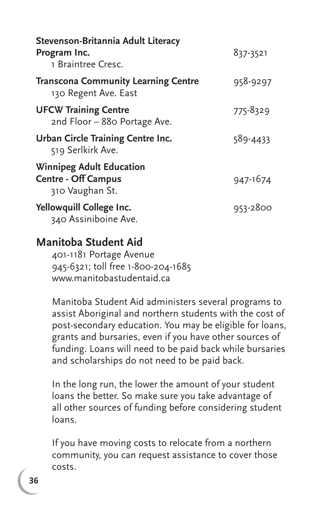| Stevenson-Britannia Adult Literacy<br>Program Inc.<br>1 Braintree Cresc.         | 837-3521 |
|----------------------------------------------------------------------------------|----------|
| <b>Transcona Community Learning Centre</b><br>130 Regent Ave. East               | 958-9297 |
| <b>UFCW Training Centre</b><br>2nd Floor - 880 Portage Ave.                      | 775-8329 |
| Urban Circle Training Centre Inc.<br>519 Serlkirk Ave.                           | 589-4433 |
| <b>Winnipeg Adult Education</b><br><b>Centre - Off Campus</b><br>310 Vaughan St. | 947-1674 |
| Yellowquill College Inc.<br>340 Assiniboine Ave.                                 | 953-2800 |

#### **Manitoba Student Aid**

401-1181 Portage Avenue 945-6321; toll free 1-800-204-1685 www.manitobastudentaid.ca

Manitoba Student Aid administers several programs to assist Aboriginal and northern students with the cost of post-secondary education. You may be eligible for loans, grants and bursaries, even if you have other sources of funding. Loans will need to be paid back while bursaries and scholarships do not need to be paid back.

In the long run, the lower the amount of your student loans the better. So make sure you take advantage of all other sources of funding before considering student loans.

If you have moving costs to relocate from a northern community, you can request assistance to cover those costs.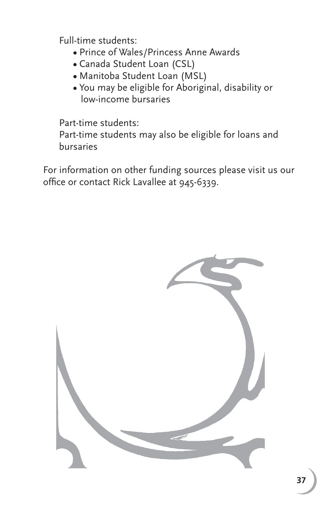Full-time students:

- Prince of Wales/Princess Anne Awards
- Canada Student Loan (CSL)
- Manitoba Student Loan (MSL)
- You may be eligible for Aboriginal, disability or low-income bursaries

Part-time students:

Part-time students may also be eligible for loans and bursaries

For information on other funding sources please visit us our office or contact Rick Lavallee at 945-6339.

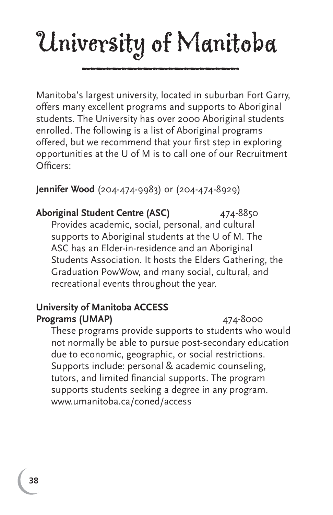# University of Manitoba and to present the

Manitoba's largest university, located in suburban Fort Garry, offers many excellent programs and supports to Aboriginal students. The University has over 2000 Aboriginal students enrolled. The following is a list of Aboriginal programs offered, but we recommend that your first step in exploring opportunities at the U of M is to call one of our Recruitment Officers:

#### **Jennifer Wood** (204-474-9983) or (204-474-8929)

**Aboriginal Student Centre (ASC)** 474-8850 Provides academic, social, personal, and cultural supports to Aboriginal students at the U of M. The ASC has an Elder-in-residence and an Aboriginal Students Association. It hosts the Elders Gathering, the Graduation PowWow, and many social, cultural, and recreational events throughout the year.

#### **University of Manitoba ACCESS Programs (UMAP) 174-8000**

These programs provide supports to students who would not normally be able to pursue post-secondary education due to economic, geographic, or social restrictions. Supports include: personal & academic counseling, tutors, and limited financial supports. The program supports students seeking a degree in any program. www.umanitoba.ca/coned/access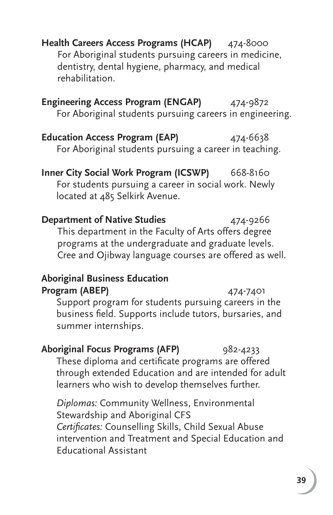**Health Careers Access Programs (HCAP)** 474-8000 For Aboriginal students pursuing careers in medicine, dentistry, dental hygiene, pharmacy, and medical rehabilitation.

**Engineering Access Program (ENGAP)** 474-9872 For Aboriginal students pursuing careers in engineering.

**Education Access Program (EAP)** 474-6638 For Aboriginal students pursuing a career in teaching.

**Inner City Social Work Program (ICSWP)** 668-8160 For students pursuing a career in social work. Newly located at 485 Selkirk Avenue.

**Department of Native Studies** 474-9266 This department in the Faculty of Arts offers degree programs at the undergraduate and graduate levels. Cree and Ojibway language courses are offered as well.

#### **Aboriginal Business Education Program (ABEP)** 474-7401

Support program for students pursuing careers in the business field. Supports include tutors, bursaries, and summer internships.

#### Aboriginal Focus Programs (AFP) 982-4233 These diploma and certificate programs are offered through extended Education and are intended for adult learners who wish to develop themselves further.

*Diplomas:* Community Wellness, Environmental Stewardship and Aboriginal CFS *Certifi cates:* Counselling Skills, Child Sexual Abuse intervention and Treatment and Special Education and Educational Assistant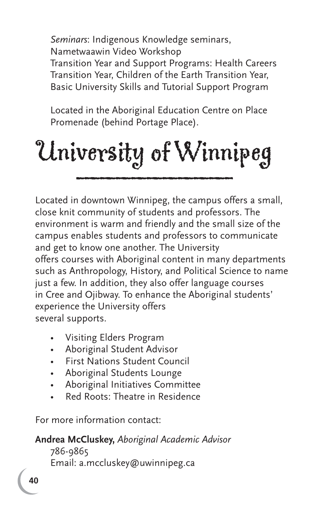*Seminars*: Indigenous Knowledge seminars, Nametwaawin Video Workshop Transition Year and Support Programs: Health Careers Transition Year, Children of the Earth Transition Year, Basic University Skills and Tutorial Support Program

Located in the Aboriginal Education Centre on Place Promenade (behind Portage Place).

# University of Winnipeg aniversity of vvinn

Located in downtown Winnipeg, the campus offers a small, close knit community of students and professors. The environment is warm and friendly and the small size of the campus enables students and professors to communicate and get to know one another. The University offers courses with Aboriginal content in many departments such as Anthropology, History, and Political Science to name just a few. In addition, they also offer language courses in Cree and Ojibway. To enhance the Aboriginal students' experience the University offers several supports.

- Visiting Elders Program
- Aboriginal Student Advisor
- First Nations Student Council
- Aboriginal Students Lounge
- Aboriginal Initiatives Committee
- Red Roots: Theatre in Residence

For more information contact:

#### **Andrea McCluskey,** *Aboriginal Academic Advisor*

 786-9865 Email: a.mccluskey@uwinnipeg.ca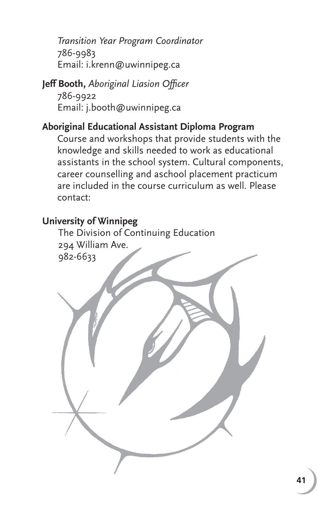*Transition Year Program Coordinator* 786-9983 Email: i.krenn@uwinnipeg.ca

**Jeff Booth, Aboriginal Liasion Officer**  786-9922 Email: j.booth@uwinnipeg.ca

#### **Aboriginal Educational Assistant Diploma Program**

Course and workshops that provide students with the knowledge and skills needed to work as educational assistants in the school system. Cultural components, career counselling and aschool placement practicum are included in the course curriculum as well. Please contact:

#### **University of Winnipeg**

The Division of Continuing Education 294 William Ave. 982-6633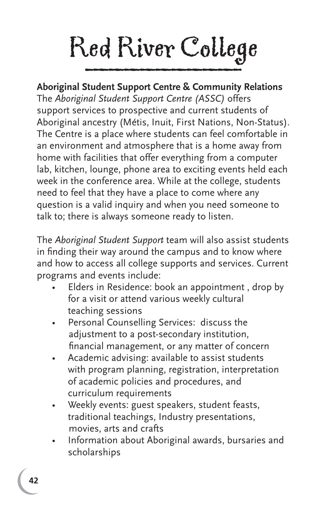# Red River College

#### **Aboriginal Student Support Centre & Community Relations** The *Aboriginal Student Support Centre (ASSC)* offers support services to prospective and current students of Aboriginal ancestry (Métis, Inuit, First Nations, Non-Status). The Centre is a place where students can feel comfortable in an environment and atmosphere that is a home away from

home with facilities that offer everything from a computer lab, kitchen, lounge, phone area to exciting events held each week in the conference area. While at the college, students need to feel that they have a place to come where any question is a valid inquiry and when you need someone to talk to; there is always someone ready to listen.

The *Aboriginal Student Support* team will also assist students in finding their way around the campus and to know where and how to access all college supports and services. Current programs and events include:

- Elders in Residence: book an appointment , drop by for a visit or attend various weekly cultural teaching sessions
- Personal Counselling Services: discuss the adjustment to a post-secondary institution, financial management, or any matter of concern
- Academic advising: available to assist students with program planning, registration, interpretation of academic policies and procedures, and curriculum requirements
- Weekly events: guest speakers, student feasts, traditional teachings, Industry presentations, movies, arts and crafts
- Information about Aboriginal awards, bursaries and scholarships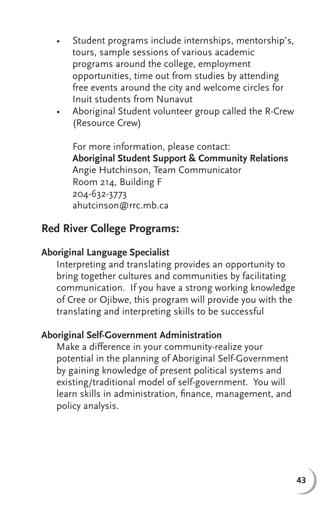- Student programs include internships, mentorship's, tours, sample sessions of various academic programs around the college, employment opportunities, time out from studies by attending free events around the city and welcome circles for Inuit students from Nunavut
- Aboriginal Student volunteer group called the R-Crew (Resource Crew)

For more information, please contact: **Aboriginal Student Support & Community Relations** Angie Hutchinson, Team Communicator Room 214, Building F 204-632-3773 ahutcinson@rrc.mb.ca

#### **Red River College Programs:**

#### **Aboriginal Language Specialist**

Interpreting and translating provides an opportunity to bring together cultures and communities by facilitating communication. If you have a strong working knowledge of Cree or Ojibwe, this program will provide you with the translating and interpreting skills to be successful

#### **Aboriginal Self-Government Administration**

Make a difference in your community-realize your potential in the planning of Aboriginal Self-Government by gaining knowledge of present political systems and existing/traditional model of self-government. You will learn skills in administration, finance, management, and policy analysis.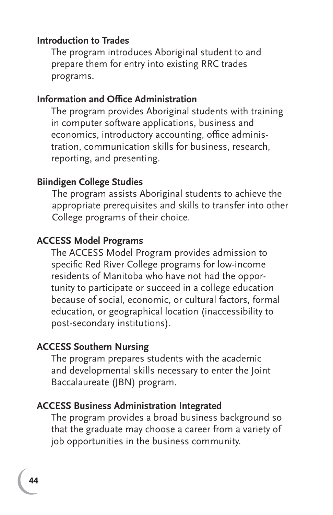#### **Introduction to Trades**

The program introduces Aboriginal student to and prepare them for entry into existing RRC trades programs.

#### **Information and Office Administration**

The program provides Aboriginal students with training in computer software applications, business and economics, introductory accounting, office administration, communication skills for business, research, reporting, and presenting.

#### **Biindigen College Studies**

The program assists Aboriginal students to achieve the appropriate prerequisites and skills to transfer into other College programs of their choice.

#### **ACCESS Model Programs**

The ACCESS Model Program provides admission to specific Red River College programs for low-income residents of Manitoba who have not had the opportunity to participate or succeed in a college education because of social, economic, or cultural factors, formal education, or geographical location (inaccessibility to post-secondary institutions).

#### **ACCESS Southern Nursing**

The program prepares students with the academic and developmental skills necessary to enter the Joint Baccalaureate (JBN) program.

#### **ACCESS Business Administration Integrated**

The program provides a broad business background so that the graduate may choose a career from a variety of job opportunities in the business community.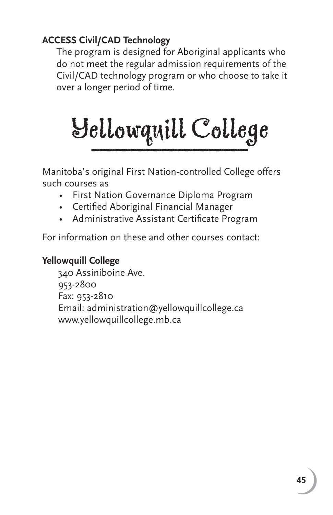#### **ACCESS Civil/CAD Technology**

The program is designed for Aboriginal applicants who do not meet the regular admission requirements of the Civil/CAD technology program or who choose to take it over a longer period of time.

# Yellowquill College \_\_\_\_\_\_\_\_\_\_

Manitoba's original First Nation-controlled College offers such courses as

- First Nation Governance Diploma Program
- Certified Aboriginal Financial Manager
- Administrative Assistant Certificate Program

For information on these and other courses contact:

#### **Yellowquill College**

 340 Assiniboine Ave. 953-2800 Fax: 953-2810 Email: administration@yellowquillcollege.ca www.yellowquillcollege.mb.ca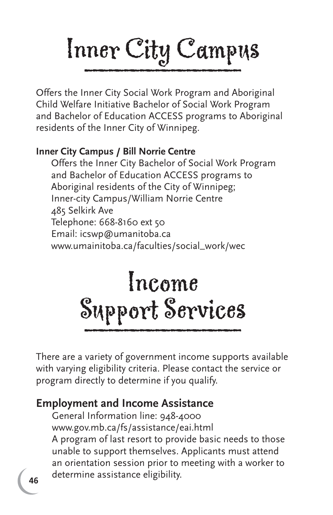# Inner City Campus

Offers the Inner City Social Work Program and Aboriginal Child Welfare Initiative Bachelor of Social Work Program and Bachelor of Education ACCESS programs to Aboriginal residents of the Inner City of Winnipeg.

#### **Inner City Campus / Bill Norrie Centre**

Offers the Inner City Bachelor of Social Work Program and Bachelor of Education ACCESS programs to Aboriginal residents of the City of Winnipeg; Inner-city Campus/William Norrie Centre 485 Selkirk Ave Telephone: 668-8160 ext 50 Email: icswp@umanitoba.ca www.umainitoba.ca/faculties/social\_work/wec

# Income Support Services \_\_\_\_\_\_\_\_\_\_

There are a variety of government income supports available with varying eligibility criteria. Please contact the service or program directly to determine if you qualify.

#### **Employment and Income Assistance**

General Information line: 948-4000 www.gov.mb.ca/fs/assistance/eai.html A program of last resort to provide basic needs to those unable to support themselves. Applicants must attend an orientation session prior to meeting with a worker to determine assistance eligibility.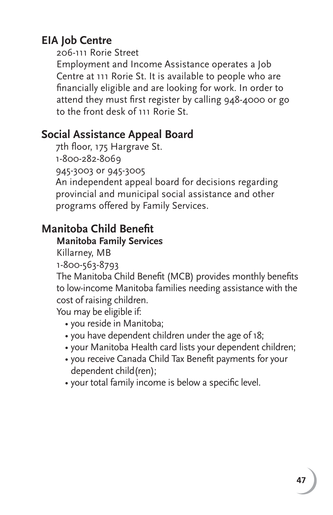# **EIA Job Centre**

206-111 Rorie Street

Employment and Income Assistance operates a Job Centre at 111 Rorie St. It is available to people who are financially eligible and are looking for work. In order to attend they must first register by calling 948-4000 or go to the front desk of 111 Rorie St.

# **Social Assistance Appeal Board**

7th floor, 175 Hargrave St. 1-800-282-8069 945-3003 or 945-3005 An independent appeal board for decisions regarding provincial and municipal social assistance and other programs offered by Family Services.

# **Manitoba Child Benefit**

#### **Manitoba Family Services**

Killarney, MB

1-800-563-8793

The Manitoba Child Benefit (MCB) provides monthly benefits to low-income Manitoba families needing assistance with the cost of raising children.

You may be eligible if:

- you reside in Manitoba;
- you have dependent children under the age of 18;
- your Manitoba Health card lists your dependent children;
- you receive Canada Child Tax Benefit payments for your dependent child(ren);
- your total family income is below a specific level.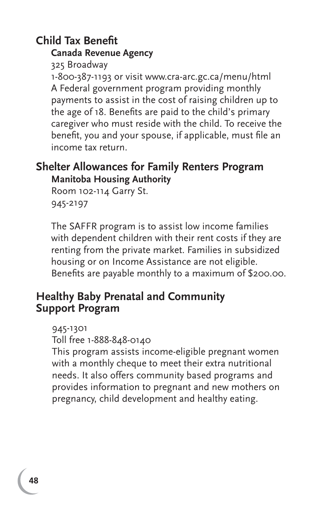# **Child Tax Benefit**

#### **Canada Revenue Agency**

325 Broadway 1-800-387-1193 or visit www.cra-arc.gc.ca/menu/html A Federal government program providing monthly payments to assist in the cost of raising children up to the age of 18. Benefits are paid to the child's primary caregiver who must reside with the child. To receive the benefit, you and your spouse, if applicable, must file an income tax return.

#### **Shelter Allowances for Family Renters Program Manitoba Housing Authority**

Room 102-114 Garry St. 945-2197

The SAFFR program is to assist low income families with dependent children with their rent costs if they are renting from the private market. Families in subsidized housing or on Income Assistance are not eligible. Benefits are payable monthly to a maximum of \$200.00.

#### **Healthy Baby Prenatal and Community Support Program**

945-1301

Toll free 1-888-848-0140

This program assists income-eligible pregnant women with a monthly cheque to meet their extra nutritional needs. It also offers community based programs and provides information to pregnant and new mothers on pregnancy, child development and healthy eating.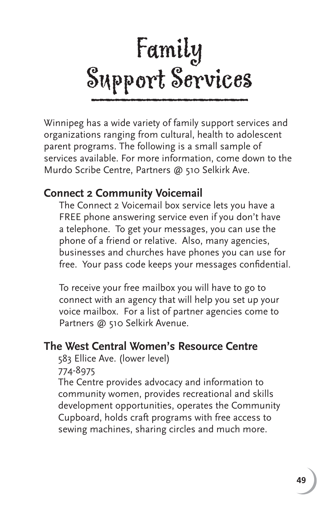

Winnipeg has a wide variety of family support services and organizations ranging from cultural, health to adolescent parent programs. The following is a small sample of services available. For more information, come down to the Murdo Scribe Centre, Partners @ 510 Selkirk Ave.

#### **Connect 2 Community Voicemail**

The Connect 2 Voicemail box service lets you have a FREE phone answering service even if you don't have a telephone. To get your messages, you can use the phone of a friend or relative. Also, many agencies, businesses and churches have phones you can use for free. Your pass code keeps your messages confidential.

To receive your free mailbox you will have to go to connect with an agency that will help you set up your voice mailbox. For a list of partner agencies come to Partners @ 510 Selkirk Avenue.

#### **The West Central Women's Resource Centre**

583 Ellice Ave. (lower level)

774-8975

The Centre provides advocacy and information to community women, provides recreational and skills development opportunities, operates the Community Cupboard, holds craft programs with free access to sewing machines, sharing circles and much more.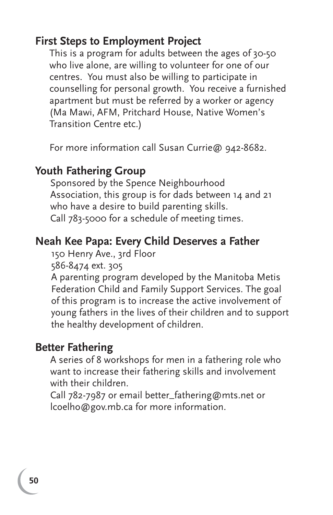#### **First Steps to Employment Project**

This is a program for adults between the ages of 30-50 who live alone, are willing to volunteer for one of our centres. You must also be willing to participate in counselling for personal growth. You receive a furnished apartment but must be referred by a worker or agency (Ma Mawi, AFM, Pritchard House, Native Women's Transition Centre etc.)

For more information call Susan Currie@ 942-8682.

#### **Youth Fathering Group**

 Sponsored by the Spence Neighbourhood Association, this group is for dads between 14 and 21 who have a desire to build parenting skills. Call 783-5000 for a schedule of meeting times.

#### **Neah Kee Papa: Every Child Deserves a Father**

150 Henry Ave., 3rd Floor

586-8474 ext. 305

A parenting program developed by the Manitoba Metis Federation Child and Family Support Services. The goal of this program is to increase the active involvement of young fathers in the lives of their children and to support the healthy development of children.

#### **Better Fathering**

A series of 8 workshops for men in a fathering role who want to increase their fathering skills and involvement with their children.

Call 782-7987 or email better\_fathering@mts.net or lcoelho@gov.mb.ca for more information.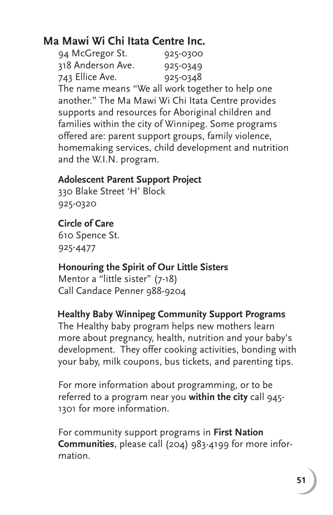# **Ma Mawi Wi Chi Itata Centre Inc.**

| 94 McGregor St.   | 925-0300 |
|-------------------|----------|
| 318 Anderson Ave. | 925-0349 |
| 743 Ellice Ave.   | 925-0348 |

The name means "We all work together to help one another." The Ma Mawi Wi Chi Itata Centre provides supports and resources for Aboriginal children and families within the city of Winnipeg. Some programs offered are: parent support groups, family violence, homemaking services, child development and nutrition and the W.I.N. program.

#### **Adolescent Parent Support Project**

330 Blake Street 'H' Block 925-0320

#### **Circle of Care**

610 Spence St. 925-4477

#### **Honouring the Spirit of Our Little Sisters**

Mentor a "little sister" (7-18) Call Candace Penner 988-9204

#### **Healthy Baby Winnipeg Community Support Programs**

The Healthy baby program helps new mothers learn more about pregnancy, health, nutrition and your baby's development. They offer cooking activities, bonding with your baby, milk coupons, bus tickets, and parenting tips.

For more information about programming, or to be referred to a program near you **within the city** call 945- 1301 for more information.

For community support programs in **First Nation Communities**, please call (204) 983-4199 for more information.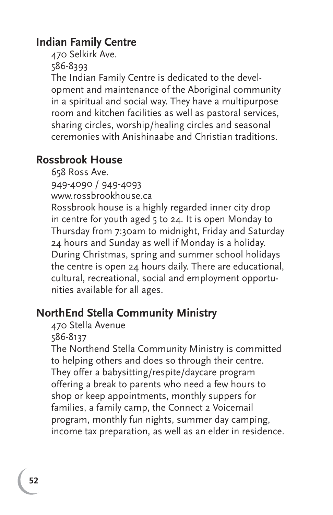# **Indian Family Centre**

470 Selkirk Ave.

586-8393

The Indian Family Centre is dedicated to the development and maintenance of the Aboriginal community in a spiritual and social way. They have a multipurpose room and kitchen facilities as well as pastoral services, sharing circles, worship/healing circles and seasonal ceremonies with Anishinaabe and Christian traditions.

# **Rossbrook House**

658 Ross Ave.

949-4090 / 949-4093

www.rossbrookhouse.ca

Rossbrook house is a highly regarded inner city drop in centre for youth aged 5 to 24. It is open Monday to Thursday from 7:30am to midnight, Friday and Saturday 24 hours and Sunday as well if Monday is a holiday. During Christmas, spring and summer school holidays the centre is open 24 hours daily. There are educational, cultural, recreational, social and employment opportunities available for all ages.

# **NorthEnd Stella Community Ministry**

470 Stella Avenue

586-8137

The Northend Stella Community Ministry is committed to helping others and does so through their centre. They offer a babysitting/respite/daycare program offering a break to parents who need a few hours to shop or keep appointments, monthly suppers for families, a family camp, the Connect 2 Voicemail program, monthly fun nights, summer day camping, income tax preparation, as well as an elder in residence.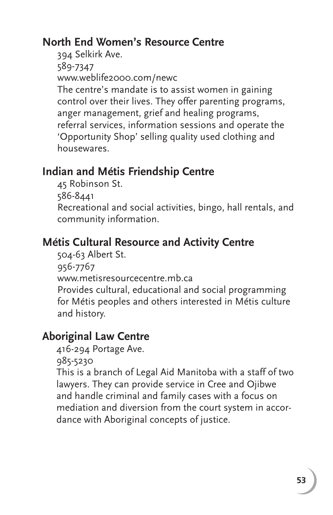# **North End Women's Resource Centre**

394 Selkirk Ave. 589-7347 www.weblife2000.com/newc The centre's mandate is to assist women in gaining control over their lives. They offer parenting programs, anger management, grief and healing programs, referral services, information sessions and operate the 'Opportunity Shop' selling quality used clothing and housewares.

# **Indian and Métis Friendship Centre**

45 Robinson St.

586-8441

Recreational and social activities, bingo, hall rentals, and community information.

# **Métis Cultural Resource and Activity Centre**

504-63 Albert St. 956-7767 www.metisresourcecentre.mb.ca Provides cultural, educational and social programming for Métis peoples and others interested in Métis culture and history.

# **Aboriginal Law Centre**

416-294 Portage Ave.

985-5230

This is a branch of Legal Aid Manitoba with a staff of two lawyers. They can provide service in Cree and Ojibwe and handle criminal and family cases with a focus on mediation and diversion from the court system in accordance with Aboriginal concepts of justice.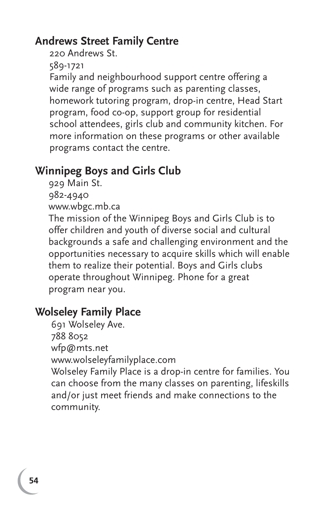# **Andrews Street Family Centre**

220 Andrews St.

589-1721

Family and neighbourhood support centre offering a wide range of programs such as parenting classes, homework tutoring program, drop-in centre, Head Start program, food co-op, support group for residential school attendees, girls club and community kitchen. For more information on these programs or other available programs contact the centre.

# **Winnipeg Boys and Girls Club**

929 Main St. 982-4940 www.wbgc.mb.ca

The mission of the Winnipeg Boys and Girls Club is to offer children and youth of diverse social and cultural backgrounds a safe and challenging environment and the opportunities necessary to acquire skills which will enable them to realize their potential. Boys and Girls clubs operate throughout Winnipeg. Phone for a great program near you.

# **Wolseley Family Place**

691 Wolseley Ave. 788 8052 wfp@mts.net www.wolseleyfamilyplace.com Wolseley Family Place is a drop-in centre for families. You can choose from the many classes on parenting, lifeskills and/or just meet friends and make connections to the community.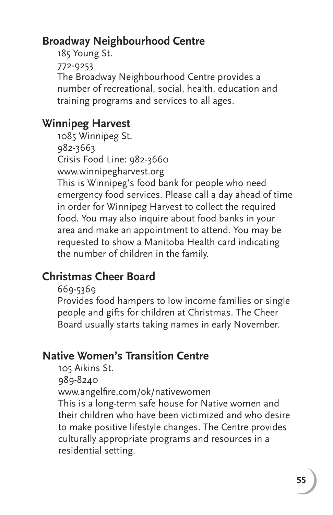# **Broadway Neighbourhood Centre**

185 Young St. 772-9253 The Broadway Neighbourhood Centre provides a number of recreational, social, health, education and training programs and services to all ages.

# **Winnipeg Harvest**

1085 Winnipeg St. 982-3663 Crisis Food Line: 982-3660 www.winnipegharvest.org This is Winnipeg's food bank for people who need emergency food services. Please call a day ahead of time in order for Winnipeg Harvest to collect the required food. You may also inquire about food banks in your area and make an appointment to attend. You may be requested to show a Manitoba Health card indicating the number of children in the family.

# **Christmas Cheer Board**

669-5369

Provides food hampers to low income families or single people and gifts for children at Christmas. The Cheer Board usually starts taking names in early November.

# **Native Women's Transition Centre**

105 Aikins St.

989-8240

www.angelfire.com/ok/nativewomen

This is a long-term safe house for Native women and their children who have been victimized and who desire to make positive lifestyle changes. The Centre provides culturally appropriate programs and resources in a residential setting.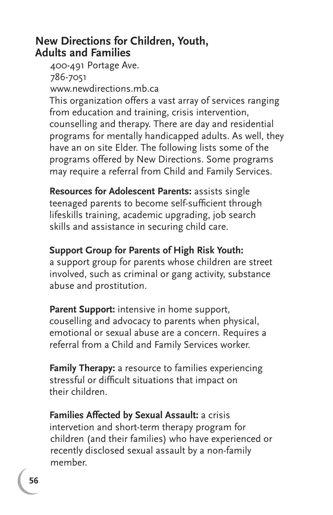#### **New Directions for Children, Youth, Adults and Families**

 400-491 Portage Ave. 786-7051 www.newdirections.mb.ca This organization offers a vast array of services ranging from education and training, crisis intervention, counselling and therapy. There are day and residential programs for mentally handicapped adults. As well, they have an on site Elder. The following lists some of the programs offered by New Directions. Some programs may require a referral from Child and Family Services.

**Resources for Adolescent Parents:** assists single teenaged parents to become self-sufficient through lifeskills training, academic upgrading, job search skills and assistance in securing child care.

#### **Support Group for Parents of High Risk Youth:**

a support group for parents whose children are street involved, such as criminal or gang activity, substance abuse and prostitution.

Parent Support: intensive in home support, couselling and advocacy to parents when physical, emotional or sexual abuse are a concern. Requires a referral from a Child and Family Services worker.

**Family Therapy:** a resource to families experiencing stressful or difficult situations that impact on their children.

 **Families Affected by Sexual Assault:** a crisis intervetion and short-term therapy program for children (and their families) who have experienced or recently disclosed sexual assault by a non-family member.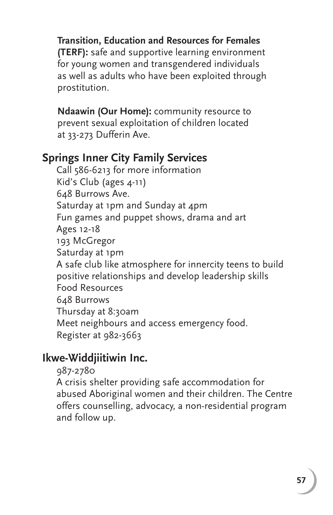**Transition, Education and Resources for Females (TERF):** safe and supportive learning environment for young women and transgendered individuals as well as adults who have been exploited through prostitution.

 **Ndaawin (Our Home):** community resource to prevent sexual exploitation of children located at 33-273 Dufferin Ave.

### **Springs Inner City Family Services**

Call 586-6213 for more information Kid's Club (ages 4-11) 648 Burrows Ave. Saturday at 1pm and Sunday at 4pm Fun games and puppet shows, drama and art Ages 12-18 193 McGregor Saturday at 1pm A safe club like atmosphere for innercity teens to build positive relationships and develop leadership skills Food Resources 648 Burrows Thursday at 8:30am Meet neighbours and access emergency food. Register at 982-3663

# **Ikwe-Widdjiitiwin Inc.**

987-2780

A crisis shelter providing safe accommodation for abused Aboriginal women and their children. The Centre offers counselling, advocacy, a non-residential program and follow up.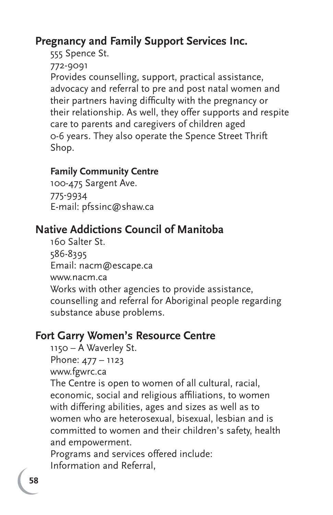# **Pregnancy and Family Support Services Inc.**

555 Spence St.

772-9091

Provides counselling, support, practical assistance, advocacy and referral to pre and post natal women and their partners having difficulty with the pregnancy or their relationship. As well, they offer supports and respite care to parents and caregivers of children aged 0-6 years. They also operate the Spence Street Thrift Shop.

#### **Family Community Centre**

100-475 Sargent Ave. 775-9934 E-mail: pfssinc@shaw.ca

# **Native Addictions Council of Manitoba**

160 Salter St. 586-8395 Email: nacm@escape.ca www.nacm.ca Works with other agencies to provide assistance, counselling and referral for Aboriginal people regarding substance abuse problems.

#### **Fort Garry Women's Resource Centre**

1150 – A Waverley St.

Phone: 477 – 1123

www.fgwrc.ca

The Centre is open to women of all cultural, racial, economic, social and religious affiliations, to women with differing abilities, ages and sizes as well as to women who are heterosexual, bisexual, lesbian and is committed to women and their children's safety, health and empowerment.

Programs and services offered include: Information and Referral,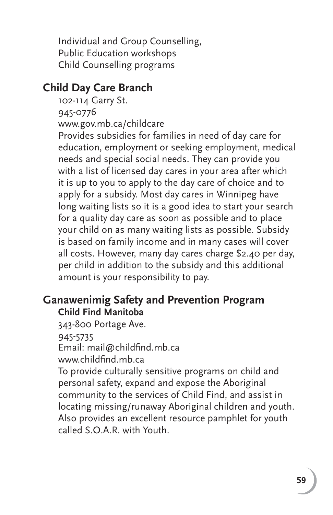Individual and Group Counselling, Public Education workshops Child Counselling programs

#### **Child Day Care Branch**

102-114 Garry St.

945-0776

www.gov.mb.ca/childcare

Provides subsidies for families in need of day care for education, employment or seeking employment, medical needs and special social needs. They can provide you with a list of licensed day cares in your area after which it is up to you to apply to the day care of choice and to apply for a subsidy. Most day cares in Winnipeg have long waiting lists so it is a good idea to start your search for a quality day care as soon as possible and to place your child on as many waiting lists as possible. Subsidy is based on family income and in many cases will cover all costs. However, many day cares charge \$2.40 per day, per child in addition to the subsidy and this additional amount is your responsibility to pay.

#### **Ganawenimig Safety and Prevention Program Child Find Manitoba**

343-800 Portage Ave. 945-5735 Email: mail@childfind.mb.ca www.childfind.mb.ca

To provide culturally sensitive programs on child and personal safety, expand and expose the Aboriginal community to the services of Child Find, and assist in locating missing/runaway Aboriginal children and youth. Also provides an excellent resource pamphlet for youth called S.O.A.R. with Youth.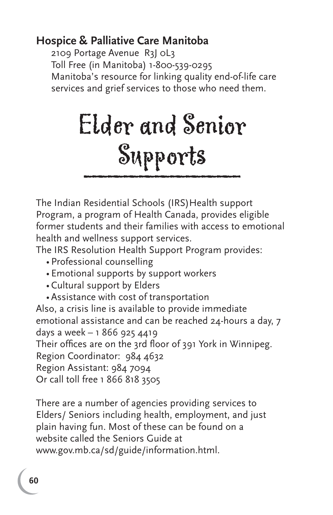#### **Hospice & Palliative Care Manitoba**

2109 Portage Avenue R3J 0L3 Toll Free (in Manitoba) 1-800-539-0295 Manitoba's resource for linking quality end-of-life care services and grief services to those who need them.

# Elder and Senior \_\_\_\_\_\_\_\_\_\_ Supports

The Indian Residential Schools (IRS) Health support Program, a program of Health Canada, provides eligible former students and their families with access to emotional health and wellness support services.

The IRS Resolution Health Support Program provides:

- Professional counselling
- Emotional supports by support workers
- Cultural support by Elders
- Assistance with cost of transportation

Also, a crisis line is available to provide immediate emotional assistance and can be reached 24-hours a day, 7 days a week – 1 866 925 4419 Their offices are on the 3rd floor of 391 York in Winnipeg. Region Coordinator: 984 4632 Region Assistant: 984 7094 Or call toll free 1 866 818 3505

There are a number of agencies providing services to Elders/ Seniors including health, employment, and just plain having fun. Most of these can be found on a website called the Seniors Guide at www.gov.mb.ca/sd/guide/information.html.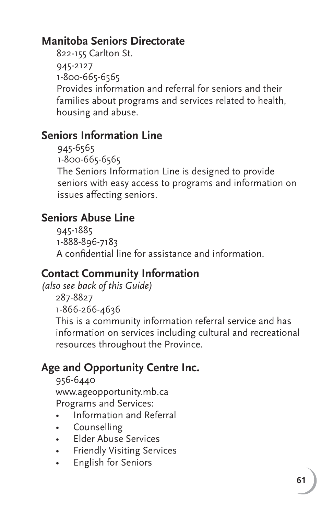# **Manitoba Seniors Directorate**

822-155 Carlton St. 945-2127 1-800-665-6565 Provides information and referral for seniors and their families about programs and services related to health, housing and abuse.

# **Seniors Information Line**

945-6565 1-800-665-6565 The Seniors Information Line is designed to provide seniors with easy access to programs and information on issues affecting seniors.

# **Seniors Abuse Line**

945-1885 1-888-896-7183 A confidential line for assistance and information.

# **Contact Community Information**

*(also see back of this Guide)*

287-8827 1-866-266-4636

This is a community information referral service and has information on services including cultural and recreational resources throughout the Province.

# **Age and Opportunity Centre Inc.**

956-6440 www.ageopportunity.mb.ca Programs and Services:

- Information and Referral
- Counselling
- Elder Abuse Services
- Friendly Visiting Services
- English for Seniors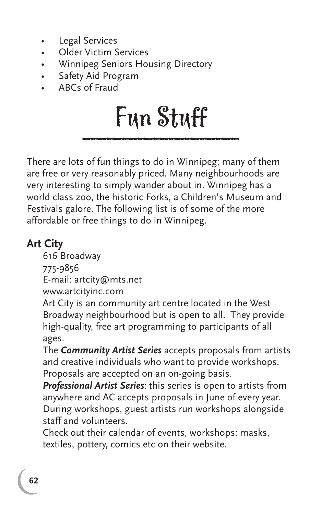- Legal Services
- Older Victim Services
- Winnipeg Seniors Housing Directory
- Safety Aid Program
- ABCs of Fraud

# \_\_\_\_\_\_\_\_\_\_ Fun Stuff

There are lots of fun things to do in Winnipeg; many of them are free or very reasonably priced. Many neighbourhoods are very interesting to simply wander about in. Winnipeg has a world class zoo, the historic Forks, a Children's Museum and Festivals galore. The following list is of some of the more affordable or free things to do in Winnipeg.

# **Art City**

616 Broadway 775-9856

E-mail: artcity@mts.net

www.artcityinc.com

Art City is an community art centre located in the West Broadway neighbourhood but is open to all. They provide high-quality, free art programming to participants of all ages.

The *Community Artist Series* accepts proposals from artists and creative individuals who want to provide workshops. Proposals are accepted on an on-going basis.

*Professional Artist Series*: this series is open to artists from anywhere and AC accepts proposals in June of every year. During workshops, guest artists run workshops alongside staff and volunteers.

Check out their calendar of events, workshops: masks, textiles, pottery, comics etc on their website.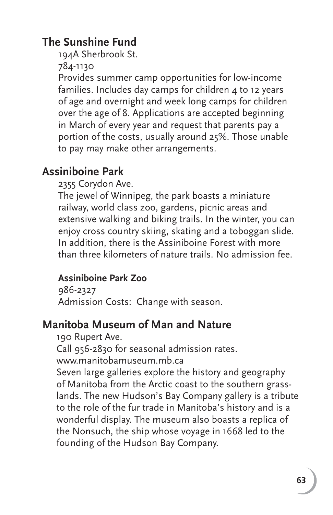# **The Sunshine Fund**

194A Sherbrook St.

784-1130

Provides summer camp opportunities for low-income families. Includes day camps for children 4 to 12 years of age and overnight and week long camps for children over the age of 8. Applications are accepted beginning in March of every year and request that parents pay a portion of the costs, usually around 25%. Those unable to pay may make other arrangements.

# **Assiniboine Park**

2355 Corydon Ave.

The jewel of Winnipeg, the park boasts a miniature railway, world class zoo, gardens, picnic areas and extensive walking and biking trails. In the winter, you can enjoy cross country skiing, skating and a toboggan slide. In addition, there is the Assiniboine Forest with more than three kilometers of nature trails. No admission fee.

#### **Assiniboine Park Zoo**

986-2327 Admission Costs: Change with season.

# **Manitoba Museum of Man and Nature**

190 Rupert Ave.

Call 956-2830 for seasonal admission rates.

www.manitobamuseum.mb.ca

Seven large galleries explore the history and geography of Manitoba from the Arctic coast to the southern grasslands. The new Hudson's Bay Company gallery is a tribute to the role of the fur trade in Manitoba's history and is a wonderful display. The museum also boasts a replica of the Nonsuch, the ship whose voyage in 1668 led to the founding of the Hudson Bay Company.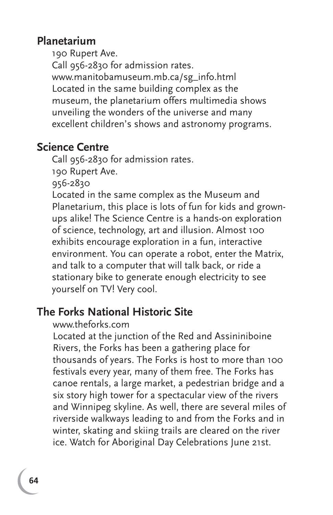#### **Planetarium**

190 Rupert Ave.

Call 956-2830 for admission rates. www.manitobamuseum.mb.ca/sg\_info.html Located in the same building complex as the museum, the planetarium offers multimedia shows unveiling the wonders of the universe and many excellent children's shows and astronomy programs.

#### **Science Centre**

Call 956-2830 for admission rates.

190 Rupert Ave.

956-2830

Located in the same complex as the Museum and Planetarium, this place is lots of fun for kids and grownups alike! The Science Centre is a hands-on exploration of science, technology, art and illusion. Almost 100 exhibits encourage exploration in a fun, interactive environment. You can operate a robot, enter the Matrix, and talk to a computer that will talk back, or ride a stationary bike to generate enough electricity to see yourself on TV! Very cool.

#### **The Forks National Historic Site**

#### www.theforks.com

Located at the junction of the Red and Assininiboine Rivers, the Forks has been a gathering place for thousands of years. The Forks is host to more than 100 festivals every year, many of them free. The Forks has canoe rentals, a large market, a pedestrian bridge and a six story high tower for a spectacular view of the rivers and Winnipeg skyline. As well, there are several miles of riverside walkways leading to and from the Forks and in winter, skating and skiing trails are cleared on the river ice. Watch for Aboriginal Day Celebrations June 21st.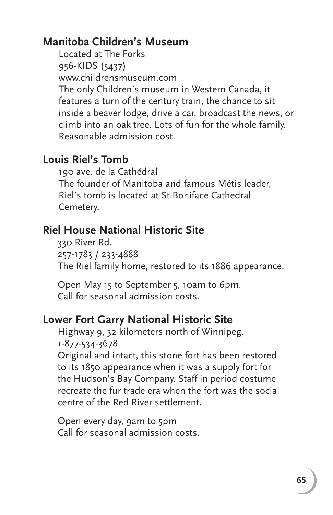# **Manitoba Children's Museum**

Located at The Forks 956-KIDS (5437) www.childrensmuseum.com The only Children's museum in Western Canada, it features a turn of the century train, the chance to sit inside a beaver lodge, drive a car, broadcast the news, or climb into an oak tree. Lots of fun for the whole family. Reasonable admission cost.

#### **Louis Riel's Tomb**

190 ave. de la Cathédral The founder of Manitoba and famous Métis leader, Riel's tomb is located at St.Boniface Cathedral Cemetery.

#### **Riel House National Historic Site**

330 River Rd. 257-1783 / 233-4888 The Riel family home, restored to its 1886 appearance.

Open May 15 to September 5, 10am to 6pm. Call for seasonal admission costs.

#### **Lower Fort Garry National Historic Site**

Highway 9, 32 kilometers north of Winnipeg. 1-877-534-3678

Original and intact, this stone fort has been restored to its 1850 appearance when it was a supply fort for the Hudson's Bay Company. Staff in period costume recreate the fur trade era when the fort was the social centre of the Red River settlement.

Open every day, 9am to 5pm Call for seasonal admission costs.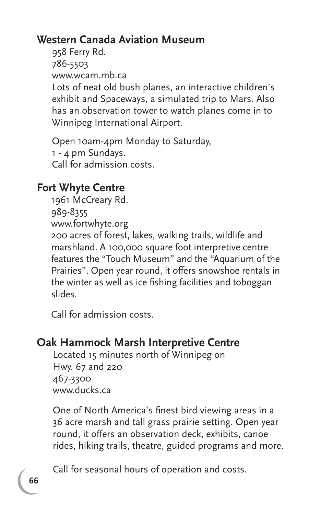# **Western Canada Aviation Museum**

958 Ferry Rd. 786-5503 www.wcam.mb.ca Lots of neat old bush planes, an interactive children's exhibit and Spaceways, a simulated trip to Mars. Also has an observation tower to watch planes come in to Winnipeg International Airport.

Open 10am-4pm Monday to Saturday, 1 - 4 pm Sundays. Call for admission costs.

# **Fort Whyte Centre**

1961 McCreary Rd. 989-8355 www.fortwhyte.org 200 acres of forest, lakes, walking trails, wildlife and marshland. A 100,000 square foot interpretive centre features the "Touch Museum" and the "Aquarium of the Prairies". Open year round, it offers snowshoe rentals in the winter as well as ice fishing facilities and toboggan slides.

Call for admission costs.

# **Oak Hammock Marsh Interpretive Centre**

Located 15 minutes north of Winnipeg on Hwy. 67 and 220 467-3300 www.ducks.ca

One of North America's finest bird viewing areas in a 36 acre marsh and tall grass prairie setting. Open year round, it offers an observation deck, exhibits, canoe rides, hiking trails, theatre, guided programs and more.

Call for seasonal hours of operation and costs.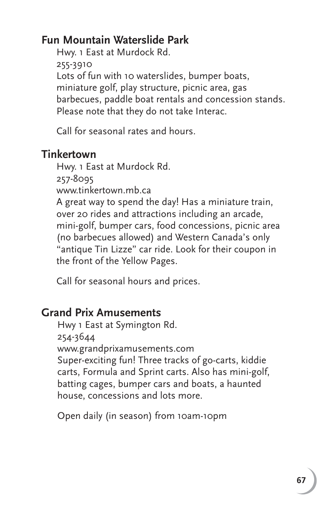# **Fun Mountain Waterslide Park**

Hwy. 1 East at Murdock Rd. 255-3910 Lots of fun with 10 waterslides, bumper boats, miniature golf, play structure, picnic area, gas barbecues, paddle boat rentals and concession stands. Please note that they do not take Interac.

Call for seasonal rates and hours.

#### **Tinkertown**

Hwy. 1 East at Murdock Rd.

257-8095

www.tinkertown.mb.ca

A great way to spend the day! Has a miniature train, over 20 rides and attractions including an arcade, mini-golf, bumper cars, food concessions, picnic area (no barbecues allowed) and Western Canada's only "antique Tin Lizze" car ride. Look for their coupon in the front of the Yellow Pages.

Call for seasonal hours and prices.

#### **Grand Prix Amusements**

Hwy 1 East at Symington Rd. 254-3644 www.grandprixamusements.com Super-exciting fun! Three tracks of go-carts, kiddie carts, Formula and Sprint carts. Also has mini-golf, batting cages, bumper cars and boats, a haunted house, concessions and lots more.

Open daily (in season) from 10am-10pm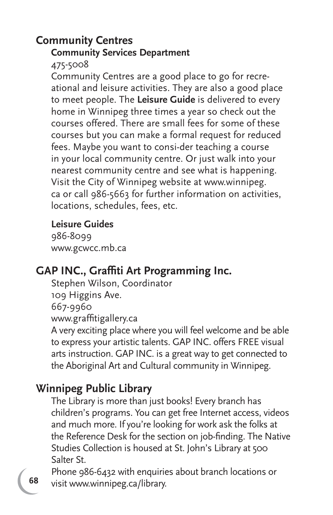#### **Community Centres Community Services Department**

475-5008

Community Centres are a good place to go for recreational and leisure activities. They are also a good place to meet people. The **Leisure Guide** is delivered to every home in Winnipeg three times a year so check out the courses offered. There are small fees for some of these courses but you can make a formal request for reduced fees. Maybe you want to consi-der teaching a course in your local community centre. Or just walk into your nearest community centre and see what is happening. Visit the City of Winnipeg website at www.winnipeg. ca or call 986-5663 for further information on activities, locations, schedules, fees, etc.

#### **Leisure Guides**

986-8099 www.gcwcc.mb.ca

# **GAP INC., Graffiti Art Programming Inc.**

Stephen Wilson, Coordinator 109 Higgins Ave. 667-9960 www.graffitigallery.ca A very exciting place where you will feel welcome and be able to express your artistic talents. GAP INC. offers FREE visual arts instruction. GAP INC. is a great way to get connected to the Aboriginal Art and Cultural community in Winnipeg.

# **Winnipeg Public Library**

The Library is more than just books! Every branch has children's programs. You can get free Internet access, videos and much more. If you're looking for work ask the folks at the Reference Desk for the section on job-finding. The Native Studies Collection is housed at St. John's Library at 500 Salter St.

Phone 986-6432 with enquiries about branch locations or visit www.winnipeg.ca/library.

**68**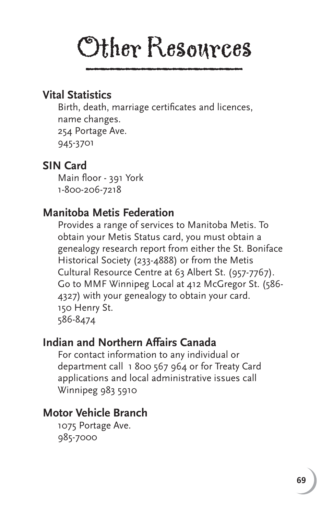# Other Resources

#### **Vital Statistics**

Birth, death, marriage certificates and licences, name changes. 254 Portage Ave. 945-3701

### **SIN Card**

Main floor - 391 York 1-800-206-7218

### **Manitoba Metis Federation**

Provides a range of services to Manitoba Metis. To obtain your Metis Status card, you must obtain a genealogy research report from either the St. Boniface Historical Society (233-4888) or from the Metis Cultural Resource Centre at 63 Albert St. (957-7767). Go to MMF Winnipeg Local at 412 McGregor St. (586- 4327) with your genealogy to obtain your card. 150 Henry St. 586-8474

#### **Indian and Northern Affairs Canada**

 For contact information to any individual or department call 1 800 567 964 or for Treaty Card applications and local administrative issues call Winnipeg 983 5910

# **Motor Vehicle Branch**

 1075 Portage Ave. 985-7000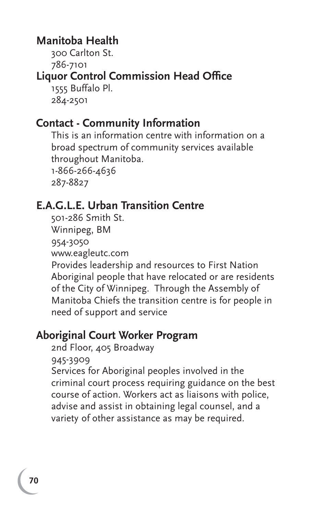#### **Manitoba Health**

300 Carlton St.

786-7101

# **Liquor Control Commission Head Office**

 1555 Buffalo Pl. 284-2501

#### **Contact - Community Information**

 This is an information centre with information on a broad spectrum of community services available throughout Manitoba. 1-866-266-4636 287-8827

# **E.A.G.L.E. Urban Transition Centre**

 501-286 Smith St. Winnipeg, BM 954-3050 www.eagleutc.com

 Provides leadership and resources to First Nation Aboriginal people that have relocated or are residents of the City of Winnipeg. Through the Assembly of Manitoba Chiefs the transition centre is for people in need of support and service

# **Aboriginal Court Worker Program**

2nd Floor, 405 Broadway

945-3909

 Services for Aboriginal peoples involved in the criminal court process requiring guidance on the best course of action. Workers act as liaisons with police, advise and assist in obtaining legal counsel, and a variety of other assistance as may be required.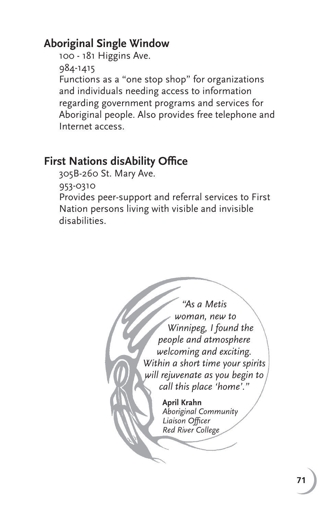# **Aboriginal Single Window**

 100 - 181 Higgins Ave. 984-1415 Functions as a "one stop shop" for organizations and individuals needing access to information regarding government programs and services for Aboriginal people. Also provides free telephone and Internet access.

#### **First Nations disAbility Office**

305B-260 St. Mary Ave.

953-0310

Provides peer-support and referral services to First Nation persons living with visible and invisible disabilities.

> *"As a Metis woman, new to Winnipeg, I found the people and atmosphere welcoming and exciting. Within a short time your spirits will rejuvenate as you begin to call this place 'home'."* **April Krahn** *Aboriginal Community*  Liaison Officer *Red River College*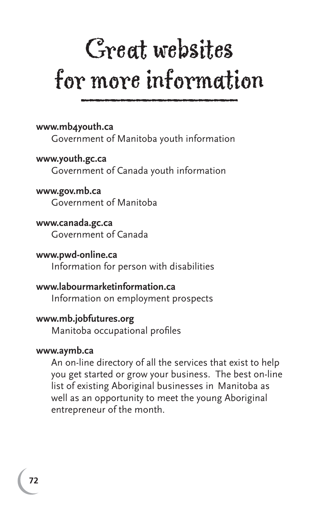# Great websites for more information

**www.mb4youth.ca**

Government of Manitoba youth information

**www.youth.gc.ca** Government of Canada youth information

**www.gov.mb.ca** Government of Manitoba

**www.canada.gc.ca** Government of Canada

**www.pwd-online.ca** Information for person with disabilities

**www.labourmarketinformation.ca** Information on employment prospects

**www.mb.jobfutures.org** Manitoba occupational profiles

### **www.aymb.ca**

An on-line directory of all the services that exist to help you get started or grow your business. The best on-line list of existing Aboriginal businesses in Manitoba as well as an opportunity to meet the young Aboriginal entrepreneur of the month.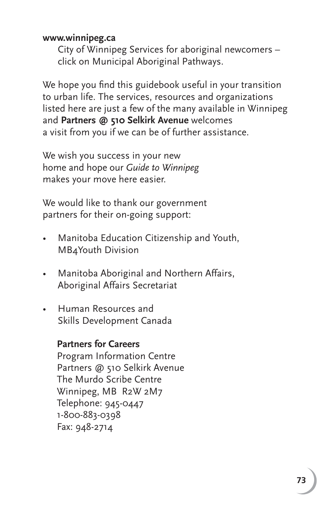#### **www.winnipeg.ca**

 City of Winnipeg Services for aboriginal newcomers – click on Municipal Aboriginal Pathways.

We hope you find this guidebook useful in your transition to urban life. The services, resources and organizations listed here are just a few of the many available in Winnipeg and **Partners @ 510 Selkirk Avenue** welcomes a visit from you if we can be of further assistance.

We wish you success in your new home and hope our *Guide to Winnipeg*  makes your move here easier.

We would like to thank our government partners for their on-going support:

- Manitoba Education Citizenship and Youth, MB4Youth Division
- Manitoba Aboriginal and Northern Affairs, Aboriginal Affairs Secretariat
- Human Resources and Skills Development Canada

#### **Partners for Careers**

 Program Information Centre Partners @ 510 Selkirk Avenue The Murdo Scribe Centre Winnipeg, MB R2W 2M7 Telephone: 945-0447 1-800-883-0398 Fax: 948-2714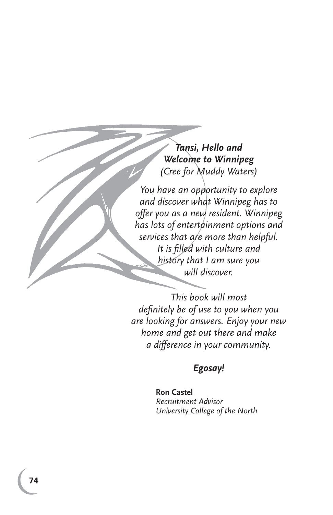*Tansi, Hello and Welcome to Winnipeg (Cree for Muddy Waters)*

*You have an opportunity to explore and discover what Winnipeg has to offer you as a new resident. Winnipeg has lots of entertainment options and services that are more than helpful. It is fi lled with culture and history that I am sure you will discover.* 

*This book will most defi nitely be of use to you when you are looking for answers. Enjoy your new home and get out there and make a difference in your community.* 

## *Egosay!*

**Ron Castel** *Recruitment Advisor University College of the North*